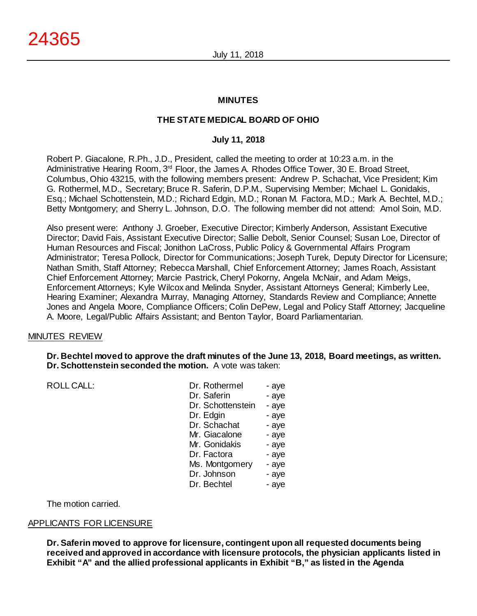## **MINUTES**

## **THE STATE MEDICAL BOARD OF OHIO**

#### **July 11, 2018**

Robert P. Giacalone, R.Ph., J.D., President, called the meeting to order at 10:23 a.m. in the Administrative Hearing Room, 3<sup>rd</sup> Floor, the James A. Rhodes Office Tower, 30 E. Broad Street, Columbus, Ohio 43215, with the following members present: Andrew P. Schachat, Vice President; Kim G. Rothermel, M.D., Secretary; Bruce R. Saferin, D.P.M., Supervising Member; Michael L. Gonidakis, Esq.; Michael Schottenstein, M.D.; Richard Edgin, M.D.; Ronan M. Factora, M.D.; Mark A. Bechtel, M.D.; Betty Montgomery; and Sherry L. Johnson, D.O. The following member did not attend: Amol Soin, M.D.

Also present were: Anthony J. Groeber, Executive Director; Kimberly Anderson, Assistant Executive Director; David Fais, Assistant Executive Director; Sallie Debolt, Senior Counsel; Susan Loe, Director of Human Resources and Fiscal; Jonithon LaCross, Public Policy & Governmental Affairs Program Administrator; Teresa Pollock, Director for Communications; Joseph Turek, Deputy Director for Licensure; Nathan Smith, Staff Attorney; Rebecca Marshall, Chief Enforcement Attorney; James Roach, Assistant Chief Enforcement Attorney; Marcie Pastrick, Cheryl Pokorny, Angela McNair, and Adam Meigs, Enforcement Attorneys; Kyle Wilcox and Melinda Snyder, Assistant Attorneys General; Kimberly Lee, Hearing Examiner; Alexandra Murray, Managing Attorney, Standards Review and Compliance; Annette Jones and Angela Moore, Compliance Officers; Colin DePew, Legal and Policy Staff Attorney; Jacqueline A. Moore, Legal/Public Affairs Assistant; and Benton Taylor, Board Parliamentarian.

#### MINUTES REVIEW

#### **Dr. Bechtel moved to approve the draft minutes of the June 13, 2018, Board meetings, as written. Dr. Schottenstein seconded the motion.** A vote was taken:

ROLL CALL:

| Dr. Rothermel     | - aye |
|-------------------|-------|
| Dr. Saferin       | - aye |
| Dr. Schottenstein | - aye |
| Dr. Edgin         | - aye |
| Dr. Schachat      | - aye |
| Mr. Giacalone     | - aye |
| Mr. Gonidakis     | - aye |
| Dr. Factora       | - aye |
| Ms. Montgomery    | - aye |
| Dr. Johnson       | - aye |
| Dr. Bechtel       | - aye |

The motion carried.

## APPLICANTS FOR LICENSURE

**Dr. Saferin moved to approve for licensure, contingent upon all requested documents being received and approved in accordance with licensure protocols, the physician applicants listed in Exhibit "A" and the allied professional applicants in Exhibit "B," as listed in the Agenda**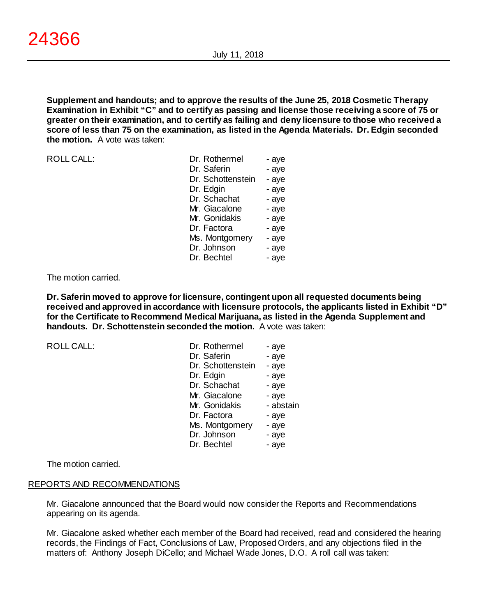**Supplement and handouts; and to approve the results of the June 25, 2018 Cosmetic Therapy Examination in Exhibit "C" and to certify as passing and license those receiving a score of 75 or greater on their examination, and to certify as failing and deny licensure to those who received a score of less than 75 on the examination, as listed in the Agenda Materials. Dr. Edgin seconded the motion.** A vote was taken:

ROLL CALL:

| Dr. Rothermel     | - aye |
|-------------------|-------|
| Dr. Saferin       | - aye |
| Dr. Schottenstein | - aye |
| Dr. Edgin         | - aye |
| Dr. Schachat      | - aye |
| Mr. Giacalone     | - aye |
| Mr. Gonidakis     | - aye |
| Dr. Factora       | - aye |
| Ms. Montgomery    | - aye |
| Dr. Johnson       | - aye |
| Dr. Bechtel       | - aye |

#### The motion carried.

**Dr. Saferin moved to approve for licensure, contingent upon all requested documents being received and approved in accordance with licensure protocols, the applicants listed in Exhibit "D" for the Certificate to Recommend Medical Marijuana, as listed in the Agenda Supplement and handouts. Dr. Schottenstein seconded the motion.** A vote was taken:

ROLL CALL:

| Dr. Rothermel     | - aye     |
|-------------------|-----------|
| Dr. Saferin       | - aye     |
| Dr. Schottenstein | - aye     |
| Dr. Edgin         | - aye     |
| Dr. Schachat      | - aye     |
| Mr. Giacalone     | - aye     |
| Mr. Gonidakis     | - abstain |
| Dr. Factora       | - aye     |
| Ms. Montgomery    | - aye     |
| Dr. Johnson       | - aye     |
| Dr. Bechtel       | - aye     |

The motion carried.

## REPORTS AND RECOMMENDATIONS

Mr. Giacalone announced that the Board would now consider the Reports and Recommendations appearing on its agenda.

Mr. Giacalone asked whether each member of the Board had received, read and considered the hearing records, the Findings of Fact, Conclusions of Law, Proposed Orders, and any objections filed in the matters of: Anthony Joseph DiCello; and Michael Wade Jones, D.O. A roll call was taken: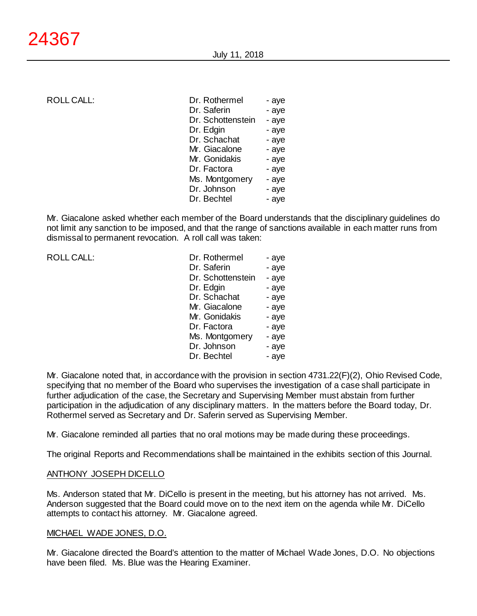ROLL CALL:

| Dr. Rothermel     | - aye |
|-------------------|-------|
| Dr. Saferin       | - aye |
| Dr. Schottenstein | - aye |
| Dr. Edgin         | - aye |
| Dr. Schachat      | - aye |
| Mr. Giacalone     | - aye |
| Mr. Gonidakis     | - aye |
| Dr. Factora       | - aye |
| Ms. Montgomery    | - aye |
| Dr. Johnson       | - aye |
| Dr. Bechtel       | - aye |
|                   |       |

Mr. Giacalone asked whether each member of the Board understands that the disciplinary guidelines do not limit any sanction to be imposed, and that the range of sanctions available in each matter runs from dismissal to permanent revocation. A roll call was taken:

ROLL CALL:

| Dr. Rothermel     | - aye |
|-------------------|-------|
| Dr. Saferin       | - aye |
| Dr. Schottenstein | - aye |
| Dr. Edgin         | - aye |
| Dr. Schachat      | - aye |
| Mr. Giacalone     | - aye |
| Mr. Gonidakis     | - aye |
| Dr. Factora       | - aye |
| Ms. Montgomery    | - aye |
| Dr. Johnson       | - aye |
| Dr. Bechtel       | - aye |

Mr. Giacalone noted that, in accordance with the provision in section 4731.22(F)(2), Ohio Revised Code, specifying that no member of the Board who supervises the investigation of a case shall participate in further adjudication of the case, the Secretary and Supervising Member must abstain from further participation in the adjudication of any disciplinary matters. In the matters before the Board today, Dr. Rothermel served as Secretary and Dr. Saferin served as Supervising Member.

Mr. Giacalone reminded all parties that no oral motions may be made during these proceedings.

The original Reports and Recommendations shall be maintained in the exhibits section of this Journal.

#### ANTHONY JOSEPH DICELLO

Ms. Anderson stated that Mr. DiCello is present in the meeting, but his attorney has not arrived. Ms. Anderson suggested that the Board could move on to the next item on the agenda while Mr. DiCello attempts to contact his attorney. Mr. Giacalone agreed.

#### MICHAEL WADE JONES, D.O.

Mr. Giacalone directed the Board's attention to the matter of Michael Wade Jones, D.O. No objections have been filed. Ms. Blue was the Hearing Examiner.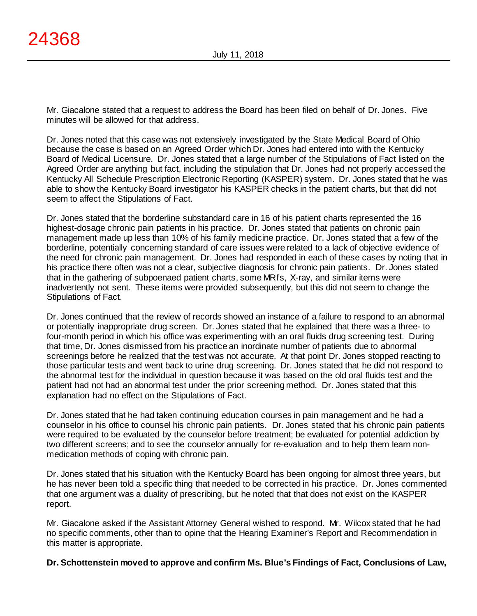Mr. Giacalone stated that a request to address the Board has been filed on behalf of Dr. Jones. Five minutes will be allowed for that address.

Dr. Jones noted that this case was not extensively investigated by the State Medical Board of Ohio because the case is based on an Agreed Order which Dr. Jones had entered into with the Kentucky Board of Medical Licensure. Dr. Jones stated that a large number of the Stipulations of Fact listed on the Agreed Order are anything but fact, including the stipulation that Dr. Jones had not properly accessed the Kentucky All Schedule Prescription Electronic Reporting (KASPER) system. Dr. Jones stated that he was able to show the Kentucky Board investigator his KASPER checks in the patient charts, but that did not seem to affect the Stipulations of Fact.

Dr. Jones stated that the borderline substandard care in 16 of his patient charts represented the 16 highest-dosage chronic pain patients in his practice. Dr. Jones stated that patients on chronic pain management made up less than 10% of his family medicine practice. Dr. Jones stated that a few of the borderline, potentially concerning standard of care issues were related to a lack of objective evidence of the need for chronic pain management. Dr. Jones had responded in each of these cases by noting that in his practice there often was not a clear, subjective diagnosis for chronic pain patients. Dr. Jones stated that in the gathering of subpoenaed patient charts, some MRI's, X-ray, and similar items were inadvertently not sent. These items were provided subsequently, but this did not seem to change the Stipulations of Fact.

Dr. Jones continued that the review of records showed an instance of a failure to respond to an abnormal or potentially inappropriate drug screen. Dr. Jones stated that he explained that there was a three- to four-month period in which his office was experimenting with an oral fluids drug screening test. During that time, Dr. Jones dismissed from his practice an inordinate number of patients due to abnormal screenings before he realized that the test was not accurate. At that point Dr. Jones stopped reacting to those particular tests and went back to urine drug screening. Dr. Jones stated that he did not respond to the abnormal test for the individual in question because it was based on the old oral fluids test and the patient had not had an abnormal test under the prior screening method. Dr. Jones stated that this explanation had no effect on the Stipulations of Fact.

Dr. Jones stated that he had taken continuing education courses in pain management and he had a counselor in his office to counsel his chronic pain patients. Dr. Jones stated that his chronic pain patients were required to be evaluated by the counselor before treatment; be evaluated for potential addiction by two different screens; and to see the counselor annually for re-evaluation and to help them learn nonmedication methods of coping with chronic pain.

Dr. Jones stated that his situation with the Kentucky Board has been ongoing for almost three years, but he has never been told a specific thing that needed to be corrected in his practice. Dr. Jones commented that one argument was a duality of prescribing, but he noted that that does not exist on the KASPER report.

Mr. Giacalone asked if the Assistant Attorney General wished to respond. Mr. Wilcox stated that he had no specific comments, other than to opine that the Hearing Examiner's Report and Recommendation in this matter is appropriate.

**Dr. Schottenstein moved to approve and confirm Ms. Blue's Findings of Fact, Conclusions of Law,**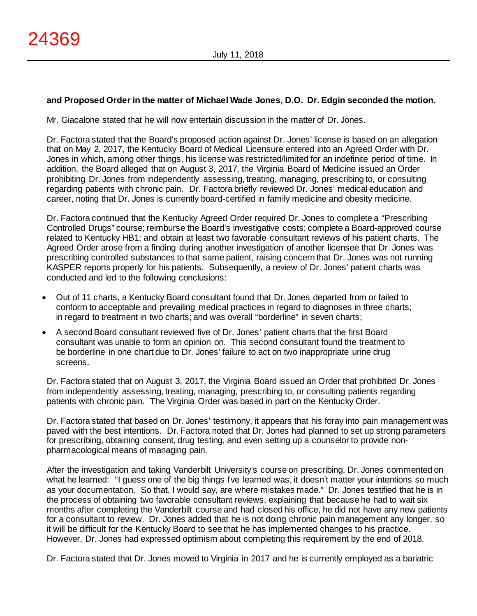## **and Proposed Order in the matter of Michael Wade Jones, D.O. Dr. Edgin seconded the motion.**

Mr. Giacalone stated that he will now entertain discussion in the matter of Dr. Jones.

Dr. Factora stated that the Board's proposed action against Dr. Jones' license is based on an allegation that on May 2, 2017, the Kentucky Board of Medical Licensure entered into an Agreed Order with Dr. Jones in which, among other things, his license was restricted/limited for an indefinite period of time. In addition, the Board alleged that on August 3, 2017, the Virginia Board of Medicine issued an Order prohibiting Dr. Jones from independently assessing, treating, managing, prescribing to, or consulting regarding patients with chronic pain. Dr. Factora briefly reviewed Dr. Jones' medical education and career, noting that Dr. Jones is currently board-certified in family medicine and obesity medicine.

Dr. Factora continued that the Kentucky Agreed Order required Dr. Jones to complete a "Prescribing Controlled Drugs" course; reimburse the Board's investigative costs; complete a Board-approved course related to Kentucky HB1; and obtain at least two favorable consultant reviews of his patient charts. The Agreed Order arose from a finding during another investigation of another licensee that Dr. Jones was prescribing controlled substances to that same patient, raising concern that Dr. Jones was not running KASPER reports properly for his patients. Subsequently, a review of Dr. Jones' patient charts was conducted and led to the following conclusions:

- Out of 11 charts, a Kentucky Board consultant found that Dr. Jones departed from or failed to conform to acceptable and prevailing medical practices in regard to diagnoses in three charts; in regard to treatment in two charts; and was overall "borderline" in seven charts;
- A second Board consultant reviewed five of Dr. Jones' patient charts that the first Board consultant was unable to form an opinion on. This second consultant found the treatment to be borderline in one chart due to Dr. Jones' failure to act on two inappropriate urine drug screens.

Dr. Factora stated that on August 3, 2017, the Virginia Board issued an Order that prohibited Dr. Jones from independently assessing, treating, managing, prescribing to, or consulting patients regarding patients with chronic pain. The Virginia Order was based in part on the Kentucky Order.

Dr. Factora stated that based on Dr. Jones' testimony, it appears that his foray into pain management was paved with the best intentions. Dr. Factora noted that Dr. Jones had planned to set up strong parameters for prescribing, obtaining consent, drug testing, and even setting up a counselor to provide nonpharmacological means of managing pain.

After the investigation and taking Vanderbilt University's course on prescribing, Dr. Jones commented on what he learned: "I guess one of the big things I've learned was, it doesn't matter your intentions so much as your documentation. So that, I would say, are where mistakes made." Dr. Jones testified that he is in the process of obtaining two favorable consultant reviews, explaining that because he had to wait six months after completing the Vanderbilt course and had closed his office, he did not have any new patients for a consultant to review. Dr. Jones added that he is not doing chronic pain management any longer, so it will be difficult for the Kentucky Board to see that he has implemented changes to his practice. However, Dr. Jones had expressed optimism about completing this requirement by the end of 2018.

Dr. Factora stated that Dr. Jones moved to Virginia in 2017 and he is currently employed as a bariatric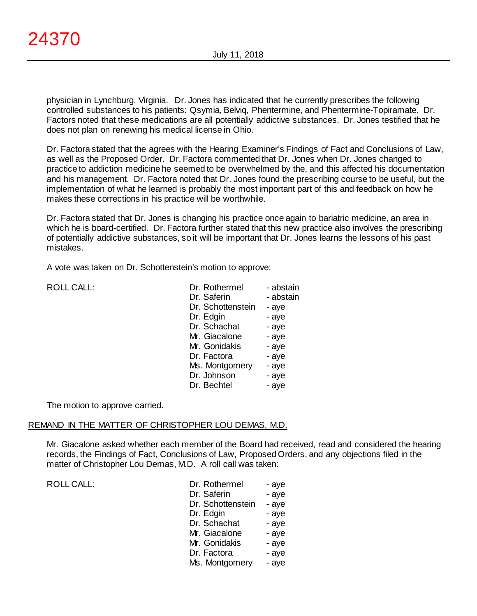physician in Lynchburg, Virginia. Dr. Jones has indicated that he currently prescribes the following controlled substances to his patients: Qsymia, Belviq, Phentermine, and Phentermine-Topiramate. Dr. Factors noted that these medications are all potentially addictive substances. Dr. Jones testified that he does not plan on renewing his medical license in Ohio.

Dr. Factora stated that the agrees with the Hearing Examiner's Findings of Fact and Conclusions of Law, as well as the Proposed Order. Dr. Factora commented that Dr. Jones when Dr. Jones changed to practice to addiction medicine he seemed to be overwhelmed by the, and this affected his documentation and his management. Dr. Factora noted that Dr. Jones found the prescribing course to be useful, but the implementation of what he learned is probably the most important part of this and feedback on how he makes these corrections in his practice will be worthwhile.

Dr. Factora stated that Dr. Jones is changing his practice once again to bariatric medicine, an area in which he is board-certified. Dr. Factora further stated that this new practice also involves the prescribing of potentially addictive substances, so it will be important that Dr. Jones learns the lessons of his past mistakes.

A vote was taken on Dr. Schottenstein's motion to approve:

ROLL CALL:

| Dr. Rothermel     | - abstain |
|-------------------|-----------|
| Dr. Saferin       | - abstain |
| Dr. Schottenstein | - aye     |
| Dr. Edgin         | - aye     |
| Dr. Schachat      | - aye     |
| Mr. Giacalone     | - aye     |
| Mr. Gonidakis     | - aye     |
| Dr. Factora       | - aye     |
| Ms. Montgomery    | - aye     |
| Dr. Johnson       | - aye     |
| Dr. Bechtel       | - aye     |
|                   |           |

The motion to approve carried.

#### REMAND IN THE MATTER OF CHRISTOPHER LOU DEMAS, M.D.

Mr. Giacalone asked whether each member of the Board had received, read and considered the hearing records, the Findings of Fact, Conclusions of Law, Proposed Orders, and any objections filed in the matter of Christopher Lou Demas, M.D. A roll call was taken:

| Dr. Rothermel     | - aye |
|-------------------|-------|
| Dr. Saferin       | - aye |
| Dr. Schottenstein | - aye |
| Dr. Edgin         | - aye |
| Dr. Schachat      | - aye |
| Mr. Giacalone     | - aye |
| Mr. Gonidakis     | - aye |
| Dr. Factora       | - aye |
| Ms. Montgomery    | - aye |
|                   |       |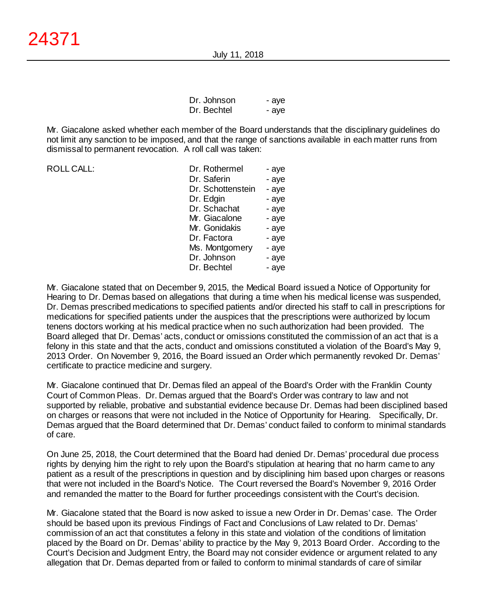| Dr. Johnson | - aye |
|-------------|-------|
| Dr. Bechtel | - aye |

Mr. Giacalone asked whether each member of the Board understands that the disciplinary guidelines do not limit any sanction to be imposed, and that the range of sanctions available in each matter runs from dismissal to permanent revocation. A roll call was taken:

| <b>ROLL CALL:</b> | Dr. Rothermel     | - aye |
|-------------------|-------------------|-------|
|                   | Dr. Saferin       | - aye |
|                   | Dr. Schottenstein | - aye |
|                   | Dr. Edgin         | - aye |
|                   | Dr. Schachat      | - aye |
|                   | Mr. Giacalone     | - aye |
|                   | Mr. Gonidakis     | - aye |
|                   | Dr. Factora       | - aye |
|                   | Ms. Montgomery    | - aye |
|                   | Dr. Johnson       | - aye |
|                   | Dr. Bechtel       | - aye |

Mr. Giacalone stated that on December 9, 2015, the Medical Board issued a Notice of Opportunity for Hearing to Dr. Demas based on allegations that during a time when his medical license was suspended, Dr. Demas prescribed medications to specified patients and/or directed his staff to call in prescriptions for medications for specified patients under the auspices that the prescriptions were authorized by locum tenens doctors working at his medical practice when no such authorization had been provided. The Board alleged that Dr. Demas' acts, conduct or omissions constituted the commission of an act that is a felony in this state and that the acts, conduct and omissions constituted a violation of the Board's May 9, 2013 Order. On November 9, 2016, the Board issued an Order which permanently revoked Dr. Demas' certificate to practice medicine and surgery.

Mr. Giacalone continued that Dr. Demas filed an appeal of the Board's Order with the Franklin County Court of Common Pleas. Dr. Demas argued that the Board's Order was contrary to law and not supported by reliable, probative and substantial evidence because Dr. Demas had been disciplined based on charges or reasons that were not included in the Notice of Opportunity for Hearing. Specifically, Dr. Demas argued that the Board determined that Dr. Demas' conduct failed to conform to minimal standards of care.

On June 25, 2018, the Court determined that the Board had denied Dr. Demas' procedural due process rights by denying him the right to rely upon the Board's stipulation at hearing that no harm came to any patient as a result of the prescriptions in question and by disciplining him based upon charges or reasons that were not included in the Board's Notice. The Court reversed the Board's November 9, 2016 Order and remanded the matter to the Board for further proceedings consistent with the Court's decision.

Mr. Giacalone stated that the Board is now asked to issue a new Order in Dr. Demas' case. The Order should be based upon its previous Findings of Fact and Conclusions of Law related to Dr. Demas' commission of an act that constitutes a felony in this state and violation of the conditions of limitation placed by the Board on Dr. Demas' ability to practice by the May 9, 2013 Board Order. According to the Court's Decision and Judgment Entry, the Board may not consider evidence or argument related to any allegation that Dr. Demas departed from or failed to conform to minimal standards of care of similar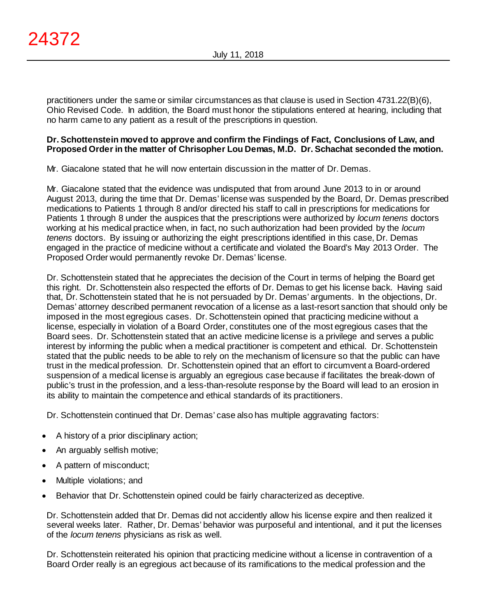practitioners under the same or similar circumstances as that clause is used in Section 4731.22(B)(6), Ohio Revised Code. In addition, the Board must honor the stipulations entered at hearing, including that no harm came to any patient as a result of the prescriptions in question.

## **Dr. Schottenstein moved to approve and confirm the Findings of Fact, Conclusions of Law, and Proposed Order in the matter of Chrisopher Lou Demas, M.D. Dr. Schachat seconded the motion.**

Mr. Giacalone stated that he will now entertain discussion in the matter of Dr. Demas.

Mr. Giacalone stated that the evidence was undisputed that from around June 2013 to in or around August 2013, during the time that Dr. Demas' license was suspended by the Board, Dr. Demas prescribed medications to Patients 1 through 8 and/or directed his staff to call in prescriptions for medications for Patients 1 through 8 under the auspices that the prescriptions were authorized by *locum tenens* doctors working at his medical practice when, in fact, no such authorization had been provided by the *locum tenens* doctors. By issuing or authorizing the eight prescriptions identified in this case, Dr. Demas engaged in the practice of medicine without a certificate and violated the Board's May 2013 Order. The Proposed Order would permanently revoke Dr. Demas' license.

Dr. Schottenstein stated that he appreciates the decision of the Court in terms of helping the Board get this right. Dr. Schottenstein also respected the efforts of Dr. Demas to get his license back. Having said that, Dr. Schottenstein stated that he is not persuaded by Dr. Demas' arguments. In the objections, Dr. Demas' attorney described permanent revocation of a license as a last-resort sanction that should only be imposed in the most egregious cases. Dr. Schottenstein opined that practicing medicine without a license, especially in violation of a Board Order, constitutes one of the most egregious cases that the Board sees. Dr. Schottenstein stated that an active medicine license is a privilege and serves a public interest by informing the public when a medical practitioner is competent and ethical. Dr. Schottenstein stated that the public needs to be able to rely on the mechanism of licensure so that the public can have trust in the medical profession. Dr. Schottenstein opined that an effort to circumvent a Board-ordered suspension of a medical license is arguably an egregious case because if facilitates the break-down of public's trust in the profession, and a less-than-resolute response by the Board will lead to an erosion in its ability to maintain the competence and ethical standards of its practitioners.

Dr. Schottenstein continued that Dr. Demas' case also has multiple aggravating factors:

- A history of a prior disciplinary action;
- An arguably selfish motive;
- A pattern of misconduct;
- Multiple violations; and
- Behavior that Dr. Schottenstein opined could be fairly characterized as deceptive.

Dr. Schottenstein added that Dr. Demas did not accidently allow his license expire and then realized it several weeks later. Rather, Dr. Demas' behavior was purposeful and intentional, and it put the licenses of the *locum tenens* physicians as risk as well.

Dr. Schottenstein reiterated his opinion that practicing medicine without a license in contravention of a Board Order really is an egregious act because of its ramifications to the medical profession and the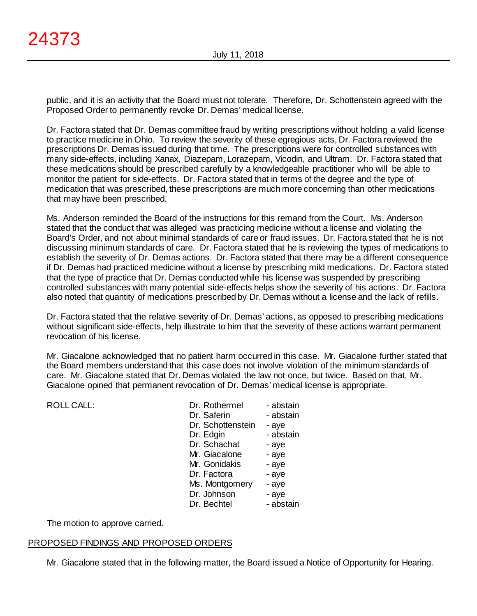public, and it is an activity that the Board must not tolerate. Therefore, Dr. Schottenstein agreed with the Proposed Order to permanently revoke Dr. Demas' medical license.

Dr. Factora stated that Dr. Demas committee fraud by writing prescriptions without holding a valid license to practice medicine in Ohio. To review the severity of these egregious acts, Dr. Factora reviewed the prescriptions Dr. Demas issued during that time. The prescriptions were for controlled substances with many side-effects, including Xanax, Diazepam, Lorazepam, Vicodin, and Ultram. Dr. Factora stated that these medications should be prescribed carefully by a knowledgeable practitioner who will be able to monitor the patient for side-effects. Dr. Factora stated that in terms of the degree and the type of medication that was prescribed, these prescriptions are much more concerning than other medications that may have been prescribed.

Ms. Anderson reminded the Board of the instructions for this remand from the Court. Ms. Anderson stated that the conduct that was alleged was practicing medicine without a license and violating the Board's Order, and not about minimal standards of care or fraud issues. Dr. Factora stated that he is not discussing minimum standards of care. Dr. Factora stated that he is reviewing the types of medications to establish the severity of Dr. Demas actions. Dr. Factora stated that there may be a different consequence if Dr. Demas had practiced medicine without a license by prescribing mild medications. Dr. Factora stated that the type of practice that Dr. Demas conducted while his license was suspended by prescribing controlled substances with many potential side-effects helps show the severity of his actions. Dr. Factora also noted that quantity of medications prescribed by Dr. Demas without a license and the lack of refills.

Dr. Factora stated that the relative severity of Dr. Demas' actions, as opposed to prescribing medications without significant side-effects, help illustrate to him that the severity of these actions warrant permanent revocation of his license.

Mr. Giacalone acknowledged that no patient harm occurred in this case. Mr. Giacalone further stated that the Board members understand that this case does not involve violation of the minimum standards of care. Mr. Giacalone stated that Dr. Demas violated the law not once, but twice. Based on that, Mr. Giacalone opined that permanent revocation of Dr. Demas' medical license is appropriate.

| <b>ROLL CALL:</b> | Dr. Rothermel     | - abstain |
|-------------------|-------------------|-----------|
|                   | Dr. Saferin       | - abstain |
|                   | Dr. Schottenstein | - aye     |
|                   | Dr. Edgin         | - abstain |
|                   | Dr. Schachat      | - aye     |
|                   | Mr. Giacalone     | - aye     |
|                   | Mr. Gonidakis     | - aye     |
|                   | Dr. Factora       | - aye     |
|                   | Ms. Montgomery    | - aye     |
|                   | Dr. Johnson       | - aye     |
|                   | Dr. Bechtel       | - abstain |

The motion to approve carried.

## PROPOSED FINDINGS AND PROPOSED ORDERS

Mr. Giacalone stated that in the following matter, the Board issued a Notice of Opportunity for Hearing.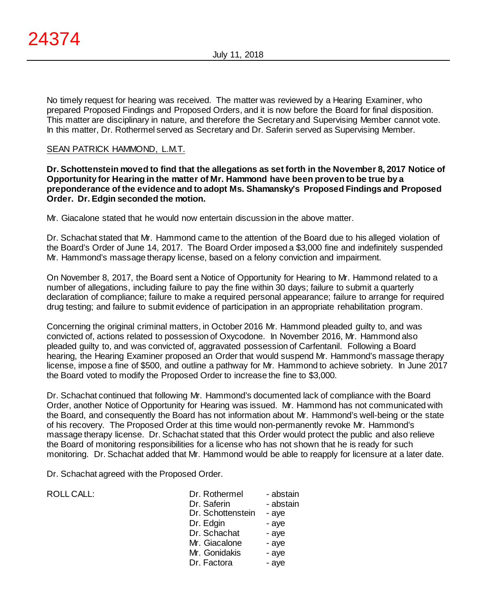No timely request for hearing was received. The matter was reviewed by a Hearing Examiner, who prepared Proposed Findings and Proposed Orders, and it is now before the Board for final disposition. This matter are disciplinary in nature, and therefore the Secretary and Supervising Member cannot vote. In this matter, Dr. Rothermel served as Secretary and Dr. Saferin served as Supervising Member.

## SEAN PATRICK HAMMOND, L.M.T.

**Dr. Schottenstein moved to find that the allegations as set forth in the November 8, 2017 Notice of Opportunity for Hearing in the matter of Mr. Hammond have been proven to be true by a preponderance of the evidence and to adopt Ms. Shamansky's Proposed Findings and Proposed Order. Dr. Edgin seconded the motion.**

Mr. Giacalone stated that he would now entertain discussion in the above matter.

Dr. Schachat stated that Mr. Hammond came to the attention of the Board due to his alleged violation of the Board's Order of June 14, 2017. The Board Order imposed a \$3,000 fine and indefinitely suspended Mr. Hammond's massage therapy license, based on a felony conviction and impairment.

On November 8, 2017, the Board sent a Notice of Opportunity for Hearing to Mr. Hammond related to a number of allegations, including failure to pay the fine within 30 days; failure to submit a quarterly declaration of compliance; failure to make a required personal appearance; failure to arrange for required drug testing; and failure to submit evidence of participation in an appropriate rehabilitation program.

Concerning the original criminal matters, in October 2016 Mr. Hammond pleaded guilty to, and was convicted of, actions related to possession of Oxycodone. In November 2016, Mr. Hammond also pleaded guilty to, and was convicted of, aggravated possession of Carfentanil. Following a Board hearing, the Hearing Examiner proposed an Order that would suspend Mr. Hammond's massage therapy license, impose a fine of \$500, and outline a pathway for Mr. Hammond to achieve sobriety. In June 2017 the Board voted to modify the Proposed Order to increase the fine to \$3,000.

Dr. Schachat continued that following Mr. Hammond's documented lack of compliance with the Board Order, another Notice of Opportunity for Hearing was issued. Mr. Hammond has not communicated with the Board, and consequently the Board has not information about Mr. Hammond's well-being or the state of his recovery. The Proposed Order at this time would non-permanently revoke Mr. Hammond's massage therapy license. Dr. Schachat stated that this Order would protect the public and also relieve the Board of monitoring responsibilities for a license who has not shown that he is ready for such monitoring. Dr. Schachat added that Mr. Hammond would be able to reapply for licensure at a later date.

Dr. Schachat agreed with the Proposed Order.

| <b>ROLL CALL:</b> |  |  |
|-------------------|--|--|
|                   |  |  |

| ROLL CALL: | Dr. Rothermel<br>Dr. Saferin<br>Dr. Schottenstein<br>Dr. Edgin<br>Dr. Schachat<br>Mr. Giacalone<br>Mr. Gonidakis | - abstain<br>- abstain<br>- aye<br>- aye<br>- aye<br>- aye |
|------------|------------------------------------------------------------------------------------------------------------------|------------------------------------------------------------|
|            |                                                                                                                  | - aye                                                      |
|            | Dr. Factora                                                                                                      | - aye                                                      |
|            |                                                                                                                  |                                                            |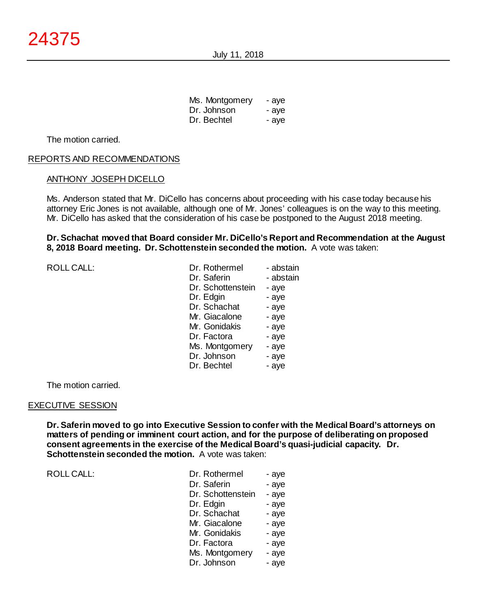July 11, 2018

| Ms. Montgomery | - aye |
|----------------|-------|
| Dr. Johnson    | - aye |
| Dr. Bechtel    | - aye |

The motion carried.

#### REPORTS AND RECOMMENDATIONS

#### ANTHONY JOSEPH DICELLO

Ms. Anderson stated that Mr. DiCello has concerns about proceeding with his case today because his attorney Eric Jones is not available, although one of Mr. Jones' colleagues is on the way to this meeting. Mr. DiCello has asked that the consideration of his case be postponed to the August 2018 meeting.

#### **Dr. Schachat moved that Board consider Mr. DiCello's Report and Recommendation at the August 8, 2018 Board meeting. Dr. Schottenstein seconded the motion.** A vote was taken:

| <b>ROLL CALL:</b> | Dr. Rothermel     | - abstain |
|-------------------|-------------------|-----------|
|                   | Dr. Saferin       | - abstain |
|                   | Dr. Schottenstein | - aye     |
|                   | Dr. Edgin         | - aye     |
|                   | Dr. Schachat      | - aye     |
|                   | Mr. Giacalone     | - aye     |
|                   | Mr. Gonidakis     | - aye     |
|                   | Dr. Factora       | - aye     |
|                   | Ms. Montgomery    | - aye     |
|                   | Dr. Johnson       | - aye     |
|                   | Dr. Bechtel       | - aye     |
|                   |                   |           |

The motion carried.

#### EXECUTIVE SESSION

**Dr. Saferin moved to go into Executive Session to confer with the Medical Board's attorneys on matters of pending or imminent court action, and for the purpose of deliberating on proposed consent agreements in the exercise of the Medical Board's quasi-judicial capacity. Dr. Schottenstein seconded the motion.** A vote was taken:

| Dr. Rothermel     | - aye |
|-------------------|-------|
| Dr. Saferin       | - aye |
| Dr. Schottenstein | - aye |
| Dr. Edgin         | - aye |
| Dr. Schachat      | - aye |
| Mr. Giacalone     | - aye |
| Mr. Gonidakis     | - aye |
| Dr. Factora       | - aye |
| Ms. Montgomery    | - aye |
| Dr. Johnson       | - aye |
|                   |       |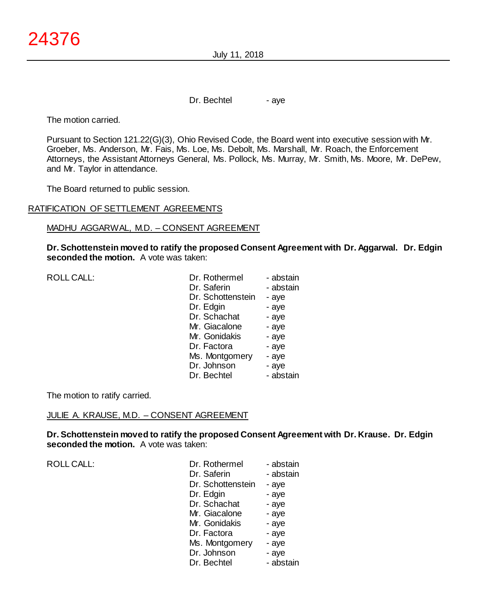July 11, 2018

Dr. Bechtel - aye

The motion carried.

Pursuant to Section 121.22(G)(3), Ohio Revised Code, the Board went into executive session with Mr. Groeber, Ms. Anderson, Mr. Fais, Ms. Loe, Ms. Debolt, Ms. Marshall, Mr. Roach, the Enforcement Attorneys, the Assistant Attorneys General, Ms. Pollock, Ms. Murray, Mr. Smith, Ms. Moore, Mr. DePew, and Mr. Taylor in attendance.

The Board returned to public session.

#### RATIFICATION OF SETTLEMENT AGREEMENTS

#### MADHU AGGARWAL, M.D. – CONSENT AGREEMENT

**Dr. Schottenstein moved to ratify the proposed Consent Agreement with Dr. Aggarwal. Dr. Edgin seconded the motion.** A vote was taken:

|  | <b>ROLL CALL:</b> |
|--|-------------------|
|  |                   |

| <b>ROLL CALL:</b> | Dr. Rothermel     | - abstain |
|-------------------|-------------------|-----------|
|                   | Dr. Saferin       | - abstain |
|                   | Dr. Schottenstein | - aye     |
|                   | Dr. Edgin         | - aye     |
|                   | Dr. Schachat      | - aye     |
|                   | Mr. Giacalone     | - aye     |
|                   | Mr. Gonidakis     | - aye     |
|                   | Dr. Factora       | - aye     |
|                   | Ms. Montgomery    | - aye     |
|                   | Dr. Johnson       | - aye     |
|                   | Dr. Bechtel       | - abstain |

The motion to ratify carried.

#### JULIE A. KRAUSE, M.D. – CONSENT AGREEMENT

**Dr. Schottenstein moved to ratify the proposed Consent Agreement with Dr. Krause. Dr. Edgin seconded the motion.** A vote was taken:

| Dr. Rothermel     | - abstain |
|-------------------|-----------|
| Dr. Saferin       | - abstain |
| Dr. Schottenstein | - aye     |
| Dr. Edgin         | - aye     |
| Dr. Schachat      | - aye     |
| Mr. Giacalone     | - aye     |
| Mr. Gonidakis     | - aye     |
| Dr. Factora       | - aye     |
| Ms. Montgomery    | - aye     |
| Dr. Johnson       | - aye     |
| Dr. Bechtel       | - abstain |
|                   |           |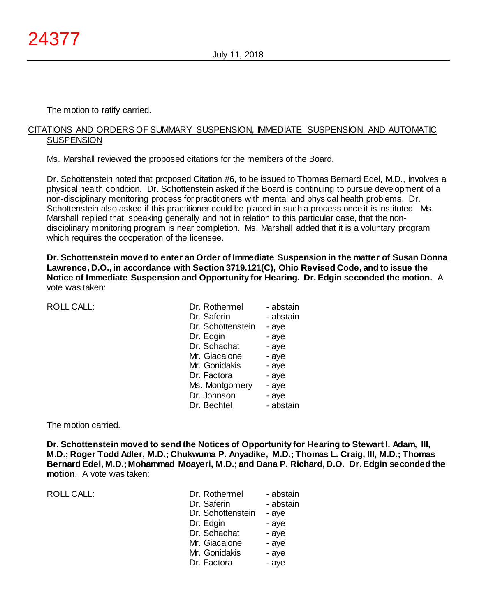The motion to ratify carried.

#### CITATIONS AND ORDERS OF SUMMARY SUSPENSION, IMMEDIATE SUSPENSION, AND AUTOMATIC **SUSPENSION**

Ms. Marshall reviewed the proposed citations for the members of the Board.

Dr. Schottenstein noted that proposed Citation #6, to be issued to Thomas Bernard Edel, M.D., involves a physical health condition. Dr. Schottenstein asked if the Board is continuing to pursue development of a non-disciplinary monitoring process for practitioners with mental and physical health problems. Dr. Schottenstein also asked if this practitioner could be placed in such a process once it is instituted. Ms. Marshall replied that, speaking generally and not in relation to this particular case, that the nondisciplinary monitoring program is near completion. Ms. Marshall added that it is a voluntary program which requires the cooperation of the licensee.

**Dr. Schottenstein moved to enter an Order of Immediate Suspension in the matter of Susan Donna Lawrence, D.O., in accordance with Section 3719.121(C), Ohio Revised Code, and to issue the Notice of Immediate Suspension and Opportunity for Hearing. Dr. Edgin seconded the motion.** A vote was taken:

ROLL CALL:

| Dr. Rothermel     | - abstain |
|-------------------|-----------|
| Dr. Saferin       | - abstain |
| Dr. Schottenstein | - aye     |
| Dr. Edgin         | - aye     |
| Dr. Schachat      | - aye     |
| Mr. Giacalone     | - aye     |
| Mr. Gonidakis     | - aye     |
| Dr. Factora       | - aye     |
| Ms. Montgomery    | - aye     |
| Dr. Johnson       | - aye     |
| Dr. Bechtel       | - abstain |

The motion carried.

**Dr. Schottenstein moved to send the Notices of Opportunity for Hearing to Stewart I. Adam, III, M.D.; Roger Todd Adler, M.D.; Chukwuma P. Anyadike, M.D.; Thomas L. Craig, III, M.D.; Thomas Bernard Edel, M.D.; Mohammad Moayeri, M.D.; and Dana P. Richard, D.O. Dr. Edgin seconded the motion**. A vote was taken:

| Dr. Rothermel     | - abstain |
|-------------------|-----------|
| Dr. Saferin       | - abstain |
| Dr. Schottenstein | - aye     |
| Dr. Edgin         | - aye     |
| Dr. Schachat      | - aye     |
| Mr. Giacalone     | - aye     |
| Mr. Gonidakis     | - aye     |
| Dr. Factora       | - aye     |
|                   |           |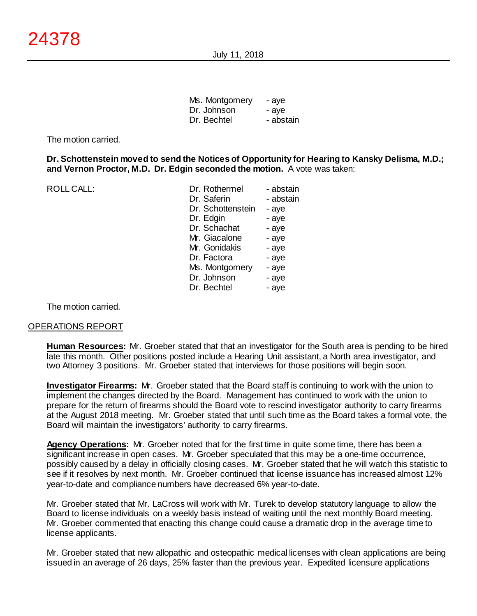July 11, 2018

| Ms. Montgomery | - aye     |
|----------------|-----------|
| Dr. Johnson    | - aye     |
| Dr. Bechtel    | - abstain |

The motion carried.

**Dr. Schottenstein moved to send the Notices of Opportunity for Hearing to Kansky Delisma, M.D.; and Vernon Proctor, M.D. Dr. Edgin seconded the motion.** A vote was taken:

| <b>ROLL CALL:</b> | Dr. Rothermel     | - abstain |
|-------------------|-------------------|-----------|
|                   | Dr. Saferin       | - abstain |
|                   | Dr. Schottenstein | - aye     |
|                   | Dr. Edgin         | - aye     |
|                   | Dr. Schachat      | - aye     |
|                   | Mr. Giacalone     | - aye     |
|                   | Mr. Gonidakis     | - aye     |
|                   | Dr. Factora       | - aye     |
|                   | Ms. Montgomery    | - aye     |
|                   | Dr. Johnson       | - aye     |
|                   | Dr. Bechtel       | - aye     |
|                   |                   |           |

The motion carried.

#### OPERATIONS REPORT

**Human Resources:** Mr. Groeber stated that that an investigator for the South area is pending to be hired late this month. Other positions posted include a Hearing Unit assistant, a North area investigator, and two Attorney 3 positions. Mr. Groeber stated that interviews for those positions will begin soon.

**Investigator Firearms:** Mr. Groeber stated that the Board staff is continuing to work with the union to implement the changes directed by the Board. Management has continued to work with the union to prepare for the return of firearms should the Board vote to rescind investigator authority to carry firearms at the August 2018 meeting. Mr. Groeber stated that until such time as the Board takes a formal vote, the Board will maintain the investigators' authority to carry firearms.

**Agency Operations:** Mr. Groeber noted that for the first time in quite some time, there has been a significant increase in open cases. Mr. Groeber speculated that this may be a one-time occurrence, possibly caused by a delay in officially closing cases. Mr. Groeber stated that he will watch this statistic to see if it resolves by next month. Mr. Groeber continued that license issuance has increased almost 12% year-to-date and compliance numbers have decreased 6% year-to-date.

Mr. Groeber stated that Mr. LaCross will work with Mr. Turek to develop statutory language to allow the Board to license individuals on a weekly basis instead of waiting until the next monthly Board meeting. Mr. Groeber commented that enacting this change could cause a dramatic drop in the average time to license applicants.

Mr. Groeber stated that new allopathic and osteopathic medical licenses with clean applications are being issued in an average of 26 days, 25% faster than the previous year. Expedited licensure applications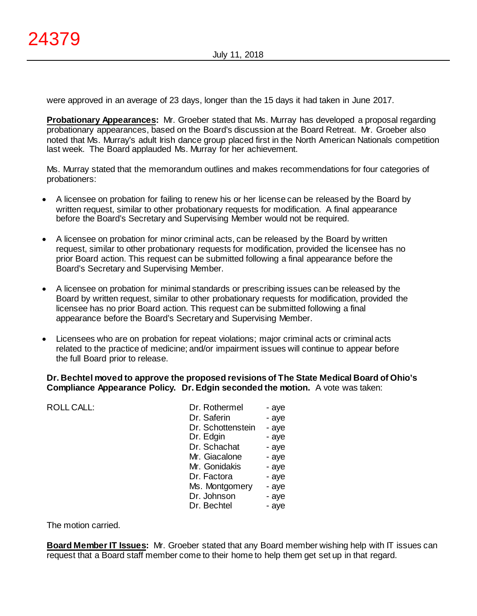were approved in an average of 23 days, longer than the 15 days it had taken in June 2017.

**Probationary Appearances:** Mr. Groeber stated that Ms. Murray has developed a proposal regarding probationary appearances, based on the Board's discussion at the Board Retreat. Mr. Groeber also noted that Ms. Murray's adult Irish dance group placed first in the North American Nationals competition last week. The Board applauded Ms. Murray for her achievement.

Ms. Murray stated that the memorandum outlines and makes recommendations for four categories of probationers:

- A licensee on probation for failing to renew his or her license can be released by the Board by written request, similar to other probationary requests for modification. A final appearance before the Board's Secretary and Supervising Member would not be required.
- A licensee on probation for minor criminal acts, can be released by the Board by written request, similar to other probationary requests for modification, provided the licensee has no prior Board action. This request can be submitted following a final appearance before the Board's Secretary and Supervising Member.
- A licensee on probation for minimal standards or prescribing issues can be released by the Board by written request, similar to other probationary requests for modification, provided the licensee has no prior Board action. This request can be submitted following a final appearance before the Board's Secretary and Supervising Member.
- Licensees who are on probation for repeat violations; major criminal acts or criminal acts related to the practice of medicine; and/or impairment issues will continue to appear before the full Board prior to release.

## **Dr. Bechtel moved to approve the proposed revisions of The State Medical Board of Ohio's Compliance Appearance Policy. Dr. Edgin seconded the motion.** A vote was taken:

| <b>ROLL CALL:</b> | Dr. Rothermel     | - aye |
|-------------------|-------------------|-------|
|                   | Dr. Saferin       | - aye |
|                   | Dr. Schottenstein | - aye |
|                   | Dr. Edgin         | - aye |
|                   | Dr. Schachat      | - aye |
|                   | Mr. Giacalone     | - aye |
|                   | Mr. Gonidakis     | - aye |
|                   | Dr. Factora       | - aye |
|                   | Ms. Montgomery    | - aye |
|                   | Dr. Johnson       | - aye |
|                   | Dr. Bechtel       | - aye |
|                   |                   |       |

The motion carried.

**Board Member IT Issues:** Mr. Groeber stated that any Board member wishing help with IT issues can request that a Board staff member come to their home to help them get set up in that regard.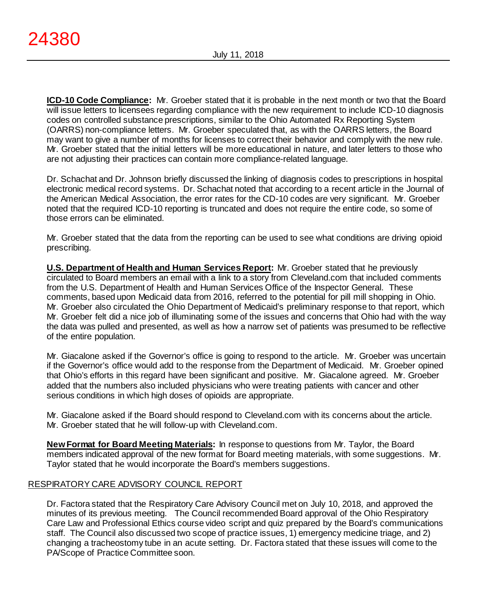**ICD-10 Code Compliance:** Mr. Groeber stated that it is probable in the next month or two that the Board will issue letters to licensees regarding compliance with the new requirement to include ICD-10 diagnosis codes on controlled substance prescriptions, similar to the Ohio Automated Rx Reporting System (OARRS) non-compliance letters. Mr. Groeber speculated that, as with the OARRS letters, the Board may want to give a number of months for licenses to correct their behavior and comply with the new rule. Mr. Groeber stated that the initial letters will be more educational in nature, and later letters to those who are not adjusting their practices can contain more compliance-related language.

Dr. Schachat and Dr. Johnson briefly discussed the linking of diagnosis codes to prescriptions in hospital electronic medical record systems. Dr. Schachat noted that according to a recent article in the Journal of the American Medical Association, the error rates for the CD-10 codes are very significant. Mr. Groeber noted that the required ICD-10 reporting is truncated and does not require the entire code, so some of those errors can be eliminated.

Mr. Groeber stated that the data from the reporting can be used to see what conditions are driving opioid prescribing.

**U.S. Department of Health and Human Services Report:** Mr. Groeber stated that he previously circulated to Board members an email with a link to a story from Cleveland.com that included comments from the U.S. Department of Health and Human Services Office of the Inspector General. These comments, based upon Medicaid data from 2016, referred to the potential for pill mill shopping in Ohio. Mr. Groeber also circulated the Ohio Department of Medicaid's preliminary response to that report, which Mr. Groeber felt did a nice job of illuminating some of the issues and concerns that Ohio had with the way the data was pulled and presented, as well as how a narrow set of patients was presumed to be reflective of the entire population.

Mr. Giacalone asked if the Governor's office is going to respond to the article. Mr. Groeber was uncertain if the Governor's office would add to the response from the Department of Medicaid. Mr. Groeber opined that Ohio's efforts in this regard have been significant and positive. Mr. Giacalone agreed. Mr. Groeber added that the numbers also included physicians who were treating patients with cancer and other serious conditions in which high doses of opioids are appropriate.

Mr. Giacalone asked if the Board should respond to Cleveland.com with its concerns about the article. Mr. Groeber stated that he will follow-up with Cleveland.com.

**New Format for Board Meeting Materials:** In response to questions from Mr. Taylor, the Board members indicated approval of the new format for Board meeting materials, with some suggestions. Mr. Taylor stated that he would incorporate the Board's members suggestions.

## RESPIRATORY CARE ADVISORY COUNCIL REPORT

Dr. Factora stated that the Respiratory Care Advisory Council met on July 10, 2018, and approved the minutes of its previous meeting. The Council recommended Board approval of the Ohio Respiratory Care Law and Professional Ethics course video script and quiz prepared by the Board's communications staff. The Council also discussed two scope of practice issues, 1) emergency medicine triage, and 2) changing a tracheostomy tube in an acute setting. Dr. Factora stated that these issues will come to the PA/Scope of Practice Committee soon.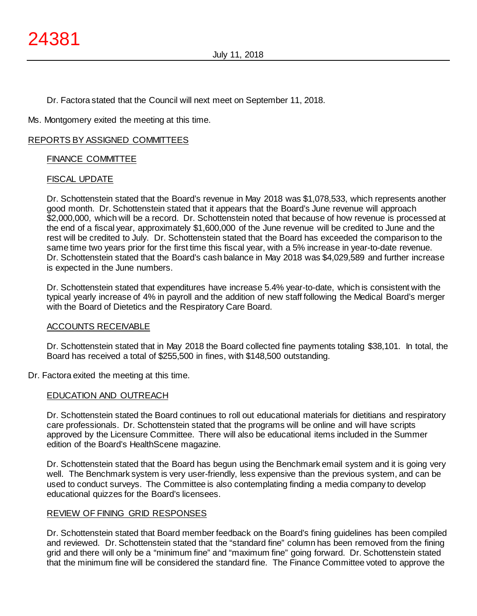Dr. Factora stated that the Council will next meet on September 11, 2018.

Ms. Montgomery exited the meeting at this time.

#### REPORTS BY ASSIGNED COMMITTEES

## FINANCE COMMITTEE

## FISCAL UPDATE

Dr. Schottenstein stated that the Board's revenue in May 2018 was \$1,078,533, which represents another good month. Dr. Schottenstein stated that it appears that the Board's June revenue will approach \$2,000,000, which will be a record. Dr. Schottenstein noted that because of how revenue is processed at the end of a fiscal year, approximately \$1,600,000 of the June revenue will be credited to June and the rest will be credited to July. Dr. Schottenstein stated that the Board has exceeded the comparison to the same time two years prior for the first time this fiscal year, with a 5% increase in year-to-date revenue. Dr. Schottenstein stated that the Board's cash balance in May 2018 was \$4,029,589 and further increase is expected in the June numbers.

Dr. Schottenstein stated that expenditures have increase 5.4% year-to-date, which is consistent with the typical yearly increase of 4% in payroll and the addition of new staff following the Medical Board's merger with the Board of Dietetics and the Respiratory Care Board.

#### ACCOUNTS RECEIVABLE

Dr. Schottenstein stated that in May 2018 the Board collected fine payments totaling \$38,101. In total, the Board has received a total of \$255,500 in fines, with \$148,500 outstanding.

#### Dr. Factora exited the meeting at this time.

#### EDUCATION AND OUTREACH

Dr. Schottenstein stated the Board continues to roll out educational materials for dietitians and respiratory care professionals. Dr. Schottenstein stated that the programs will be online and will have scripts approved by the Licensure Committee. There will also be educational items included in the Summer edition of the Board's HealthScene magazine.

Dr. Schottenstein stated that the Board has begun using the Benchmark email system and it is going very well. The Benchmark system is very user-friendly, less expensive than the previous system, and can be used to conduct surveys. The Committee is also contemplating finding a media company to develop educational quizzes for the Board's licensees.

## REVIEW OF FINING GRID RESPONSES

Dr. Schottenstein stated that Board member feedback on the Board's fining guidelines has been compiled and reviewed. Dr. Schottenstein stated that the "standard fine" column has been removed from the fining grid and there will only be a "minimum fine" and "maximum fine" going forward. Dr. Schottenstein stated that the minimum fine will be considered the standard fine. The Finance Committee voted to approve the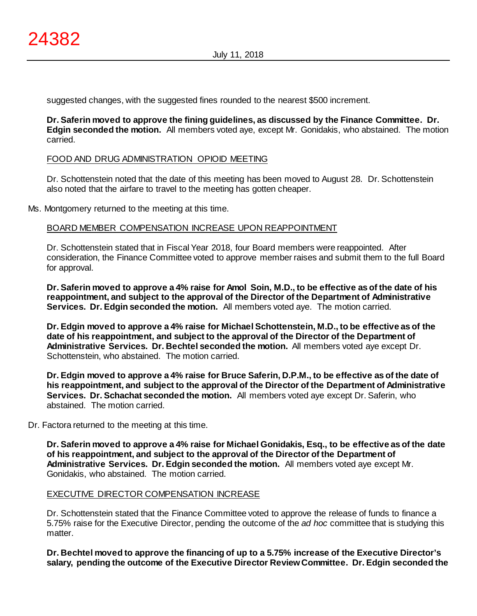suggested changes, with the suggested fines rounded to the nearest \$500 increment.

**Dr. Saferin moved to approve the fining guidelines, as discussed by the Finance Committee. Dr. Edgin seconded the motion.** All members voted aye, except Mr. Gonidakis, who abstained. The motion carried.

#### FOOD AND DRUG ADMINISTRATION OPIOID MEETING

Dr. Schottenstein noted that the date of this meeting has been moved to August 28. Dr. Schottenstein also noted that the airfare to travel to the meeting has gotten cheaper.

Ms. Montgomery returned to the meeting at this time.

## BOARD MEMBER COMPENSATION INCREASE UPON REAPPOINTMENT

Dr. Schottenstein stated that in Fiscal Year 2018, four Board members were reappointed. After consideration, the Finance Committee voted to approve member raises and submit them to the full Board for approval.

**Dr. Saferin moved to approve a 4% raise for Amol Soin, M.D., to be effective as of the date of his reappointment, and subject to the approval of the Director of the Department of Administrative Services. Dr. Edgin seconded the motion.** All members voted aye. The motion carried.

**Dr. Edgin moved to approve a 4% raise for Michael Schottenstein, M.D., to be effective as of the date of his reappointment, and subject to the approval of the Director of the Department of Administrative Services. Dr. Bechtel seconded the motion.** All members voted aye except Dr. Schottenstein, who abstained. The motion carried.

**Dr. Edgin moved to approve a 4% raise for Bruce Saferin, D.P.M., to be effective as of the date of his reappointment, and subject to the approval of the Director of the Department of Administrative Services. Dr. Schachat seconded the motion.** All members voted aye except Dr. Saferin, who abstained. The motion carried.

Dr. Factora returned to the meeting at this time.

**Dr. Saferin moved to approve a 4% raise for Michael Gonidakis, Esq., to be effective as of the date of his reappointment, and subject to the approval of the Director of the Department of Administrative Services. Dr. Edgin seconded the motion.** All members voted aye except Mr. Gonidakis, who abstained. The motion carried.

## EXECUTIVE DIRECTOR COMPENSATION INCREASE

Dr. Schottenstein stated that the Finance Committee voted to approve the release of funds to finance a 5.75% raise for the Executive Director, pending the outcome of the *ad hoc* committee that is studying this matter.

**Dr. Bechtel moved to approve the financing of up to a 5.75% increase of the Executive Director's salary, pending the outcome of the Executive Director Review Committee. Dr. Edgin seconded the**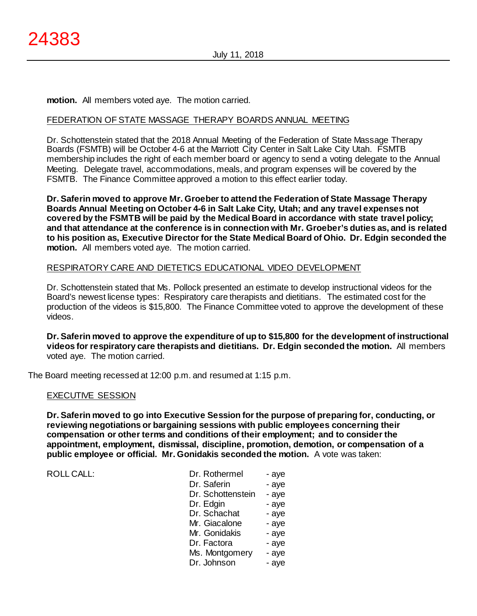**motion.** All members voted aye. The motion carried.

## FEDERATION OF STATE MASSAGE THERAPY BOARDS ANNUAL MEETING

Dr. Schottenstein stated that the 2018 Annual Meeting of the Federation of State Massage Therapy Boards (FSMTB) will be October 4-6 at the Marriott City Center in Salt Lake City Utah. FSMTB membership includes the right of each member board or agency to send a voting delegate to the Annual Meeting. Delegate travel, accommodations, meals, and program expenses will be covered by the FSMTB. The Finance Committee approved a motion to this effect earlier today.

**Dr. Saferin moved to approve Mr. Groeber to attend the Federation of State Massage Therapy Boards Annual Meeting on October 4-6 in Salt Lake City, Utah; and any travel expenses not covered by the FSMTB will be paid by the Medical Board in accordance with state travel policy; and that attendance at the conference is in connection with Mr. Groeber's duties as, and is related to his position as, Executive Director for the State Medical Board of Ohio. Dr. Edgin seconded the motion.** All members voted aye. The motion carried.

#### RESPIRATORY CARE AND DIETETICS EDUCATIONAL VIDEO DEVELOPMENT

Dr. Schottenstein stated that Ms. Pollock presented an estimate to develop instructional videos for the Board's newest license types: Respiratory care therapists and dietitians. The estimated cost for the production of the videos is \$15,800. The Finance Committee voted to approve the development of these videos.

**Dr. Saferin moved to approve the expenditure of up to \$15,800 for the development of instructional videos for respiratory care therapists and dietitians. Dr. Edgin seconded the motion.** All members voted aye. The motion carried.

The Board meeting recessed at 12:00 p.m. and resumed at 1:15 p.m.

#### EXECUTIVE SESSION

**Dr. Saferin moved to go into Executive Session for the purpose of preparing for, conducting, or reviewing negotiations or bargaining sessions with public employees concerning their compensation or other terms and conditions of their employment; and to consider the appointment, employment, dismissal, discipline, promotion, demotion, or compensation of a public employee or official. Mr. Gonidakis seconded the motion.** A vote was taken:

| Dr. Rothermel     | - aye |
|-------------------|-------|
| Dr. Saferin       | - aye |
| Dr. Schottenstein | - aye |
| Dr. Edgin         | - aye |
| Dr. Schachat      | - aye |
| Mr. Giacalone     | - aye |
| Mr. Gonidakis     | - aye |
| Dr. Factora       | - aye |
| Ms. Montgomery    | - aye |
| Dr. Johnson       | - aye |
|                   |       |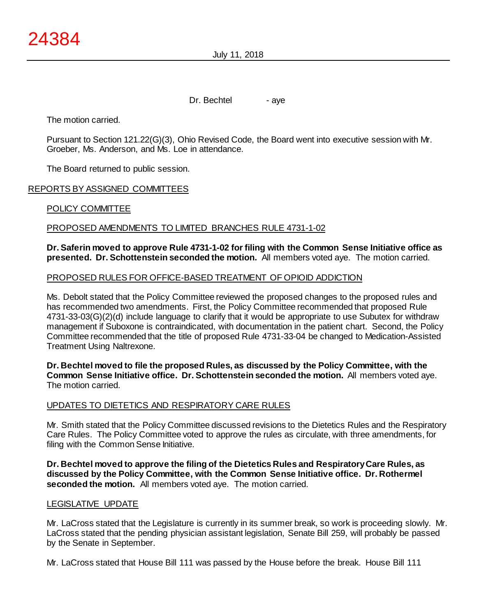July 11, 2018

Dr. Bechtel - aye

The motion carried.

Pursuant to Section 121.22(G)(3), Ohio Revised Code, the Board went into executive session with Mr. Groeber, Ms. Anderson, and Ms. Loe in attendance.

The Board returned to public session.

## REPORTS BY ASSIGNED COMMITTEES

## POLICY COMMITTEE

#### PROPOSED AMENDMENTS TO LIMITED BRANCHES RULE 4731-1-02

#### **Dr. Saferin moved to approve Rule 4731-1-02 for filing with the Common Sense Initiative office as presented. Dr. Schottenstein seconded the motion.** All members voted aye. The motion carried.

#### PROPOSED RULES FOR OFFICE-BASED TREATMENT OF OPIOID ADDICTION

Ms. Debolt stated that the Policy Committee reviewed the proposed changes to the proposed rules and has recommended two amendments. First, the Policy Committee recommended that proposed Rule 4731-33-03(G)(2)(d) include language to clarify that it would be appropriate to use Subutex for withdraw management if Suboxone is contraindicated, with documentation in the patient chart. Second, the Policy Committee recommended that the title of proposed Rule 4731-33-04 be changed to Medication-Assisted Treatment Using Naltrexone.

**Dr. Bechtel moved to file the proposed Rules, as discussed by the Policy Committee, with the Common Sense Initiative office. Dr. Schottenstein seconded the motion.** All members voted aye. The motion carried.

#### UPDATES TO DIETETICS AND RESPIRATORY CARE RULES

Mr. Smith stated that the Policy Committee discussed revisions to the Dietetics Rules and the Respiratory Care Rules. The Policy Committee voted to approve the rules as circulate, with three amendments, for filing with the Common Sense Initiative.

**Dr. Bechtel moved to approve the filing of the Dietetics Rules and Respiratory Care Rules, as discussed by the Policy Committee, with the Common Sense Initiative office. Dr. Rothermel seconded the motion.** All members voted aye. The motion carried.

#### LEGISLATIVE UPDATE

Mr. LaCross stated that the Legislature is currently in its summer break, so work is proceeding slowly. Mr. LaCross stated that the pending physician assistant legislation, Senate Bill 259, will probably be passed by the Senate in September.

Mr. LaCross stated that House Bill 111 was passed by the House before the break. House Bill 111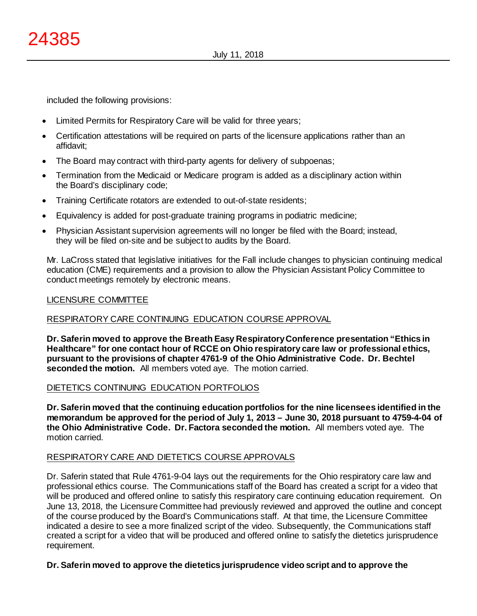included the following provisions:

- Limited Permits for Respiratory Care will be valid for three years;
- Certification attestations will be required on parts of the licensure applications rather than an affidavit;
- The Board may contract with third-party agents for delivery of subpoenas;
- Termination from the Medicaid or Medicare program is added as a disciplinary action within the Board's disciplinary code;
- Training Certificate rotators are extended to out-of-state residents;
- Equivalency is added for post-graduate training programs in podiatric medicine;
- Physician Assistant supervision agreements will no longer be filed with the Board; instead, they will be filed on-site and be subject to audits by the Board.

Mr. LaCross stated that legislative initiatives for the Fall include changes to physician continuing medical education (CME) requirements and a provision to allow the Physician Assistant Policy Committee to conduct meetings remotely by electronic means.

## LICENSURE COMMITTEE

## RESPIRATORY CARE CONTINUING EDUCATION COURSE APPROVAL

**Dr. Saferin moved to approve the Breath Easy Respiratory Conference presentation "Ethics in Healthcare" for one contact hour of RCCE on Ohio respiratory care law or professional ethics, pursuant to the provisions of chapter 4761-9 of the Ohio Administrative Code. Dr. Bechtel seconded the motion.** All members voted aye. The motion carried.

## DIETETICS CONTINUING EDUCATION PORTFOLIOS

**Dr. Saferin moved that the continuing education portfolios for the nine licensees identified in the memorandum be approved for the period of July 1, 2013 – June 30, 2018 pursuant to 4759-4-04 of the Ohio Administrative Code. Dr. Factora seconded the motion.** All members voted aye. The motion carried.

#### RESPIRATORY CARE AND DIETETICS COURSE APPROVALS

Dr. Saferin stated that Rule 4761-9-04 lays out the requirements for the Ohio respiratory care law and professional ethics course. The Communications staff of the Board has created a script for a video that will be produced and offered online to satisfy this respiratory care continuing education requirement. On June 13, 2018, the Licensure Committee had previously reviewed and approved the outline and concept of the course produced by the Board's Communications staff. At that time, the Licensure Committee indicated a desire to see a more finalized script of the video. Subsequently, the Communications staff created a script for a video that will be produced and offered online to satisfy the dietetics jurisprudence requirement.

#### **Dr. Saferin moved to approve the dietetics jurisprudence video script and to approve the**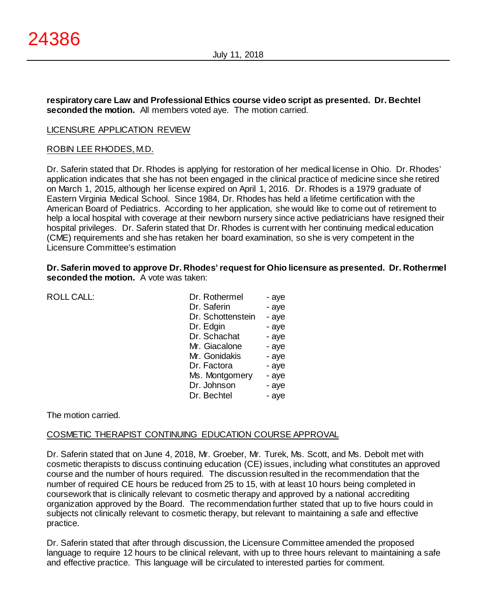**respiratory care Law and Professional Ethics course video script as presented. Dr. Bechtel seconded the motion.** All members voted aye. The motion carried.

#### LICENSURE APPLICATION REVIEW

#### ROBIN LEE RHODES, M.D.

Dr. Saferin stated that Dr. Rhodes is applying for restoration of her medical license in Ohio. Dr. Rhodes' application indicates that she has not been engaged in the clinical practice of medicine since she retired on March 1, 2015, although her license expired on April 1, 2016. Dr. Rhodes is a 1979 graduate of Eastern Virginia Medical School. Since 1984, Dr. Rhodes has held a lifetime certification with the American Board of Pediatrics. According to her application, she would like to come out of retirement to help a local hospital with coverage at their newborn nursery since active pediatricians have resigned their hospital privileges. Dr. Saferin stated that Dr. Rhodes is current with her continuing medical education (CME) requirements and she has retaken her board examination, so she is very competent in the Licensure Committee's estimation

**Dr. Saferin moved to approve Dr. Rhodes' request for Ohio licensure as presented. Dr. Rothermel seconded the motion.** A vote was taken:

ROLL CALL:

| Dr. Rothermel     | - aye |
|-------------------|-------|
| Dr. Saferin       | - aye |
| Dr. Schottenstein | - aye |
| Dr. Edgin         | - aye |
| Dr. Schachat      | - aye |
| Mr. Giacalone     | - aye |
| Mr. Gonidakis     | - aye |
| Dr. Factora       | - aye |
| Ms. Montgomery    | - aye |
| Dr. Johnson       | - aye |
| Dr. Bechtel       | - aye |

#### The motion carried.

## COSMETIC THERAPIST CONTINUING EDUCATION COURSE APPROVAL

Dr. Saferin stated that on June 4, 2018, Mr. Groeber, Mr. Turek, Ms. Scott, and Ms. Debolt met with cosmetic therapists to discuss continuing education (CE) issues, including what constitutes an approved course and the number of hours required. The discussion resulted in the recommendation that the number of required CE hours be reduced from 25 to 15, with at least 10 hours being completed in coursework that is clinically relevant to cosmetic therapy and approved by a national accrediting organization approved by the Board. The recommendation further stated that up to five hours could in subjects not clinically relevant to cosmetic therapy, but relevant to maintaining a safe and effective practice.

Dr. Saferin stated that after through discussion, the Licensure Committee amended the proposed language to require 12 hours to be clinical relevant, with up to three hours relevant to maintaining a safe and effective practice. This language will be circulated to interested parties for comment.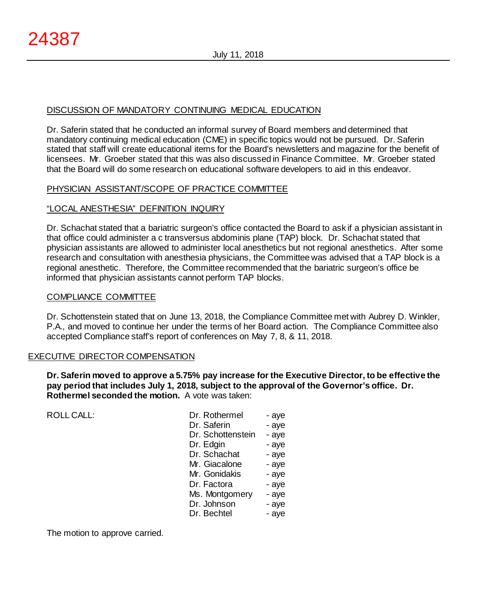## DISCUSSION OF MANDATORY CONTINUING MEDICAL EDUCATION

Dr. Saferin stated that he conducted an informal survey of Board members and determined that mandatory continuing medical education (CME) in specific topics would not be pursued. Dr. Saferin stated that staff will create educational items for the Board's newsletters and magazine for the benefit of licensees. Mr. Groeber stated that this was also discussed in Finance Committee. Mr. Groeber stated that the Board will do some research on educational software developers to aid in this endeavor.

## PHYSICIAN ASSISTANT/SCOPE OF PRACTICE COMMITTEE

## "LOCAL ANESTHESIA" DEFINITION INQUIRY

Dr. Schachat stated that a bariatric surgeon's office contacted the Board to ask if a physician assistant in that office could administer a c transversus abdominis plane (TAP) block. Dr. Schachat stated that physician assistants are allowed to administer local anesthetics but not regional anesthetics. After some research and consultation with anesthesia physicians, the Committee was advised that a TAP block is a regional anesthetic. Therefore, the Committee recommended that the bariatric surgeon's office be informed that physician assistants cannot perform TAP blocks.

## COMPLIANCE COMMITTEE

Dr. Schottenstein stated that on June 13, 2018, the Compliance Committee met with Aubrey D. Winkler, P.A., and moved to continue her under the terms of her Board action. The Compliance Committee also accepted Compliance staff's report of conferences on May 7, 8, & 11, 2018.

## EXECUTIVE DIRECTOR COMPENSATION

**Dr. Saferin moved to approve a 5.75% pay increase for the Executive Director, to be effective the pay period that includes July 1, 2018, subject to the approval of the Governor's office. Dr. Rothermel seconded the motion.** A vote was taken:

| ROLL CALL: | Dr. Rothermel     | - aye |
|------------|-------------------|-------|
|            | Dr. Saferin       | - aye |
|            | Dr. Schottenstein | - aye |
|            | Dr. Edgin         | - aye |
|            | Dr. Schachat      | - aye |
|            | Mr. Giacalone     | - aye |
|            | Mr. Gonidakis     | - aye |
|            | Dr. Factora       | - aye |
|            | Ms. Montgomery    | - aye |
|            | Dr. Johnson       | - aye |
|            | Dr. Bechtel       | - aye |
|            |                   |       |

The motion to approve carried.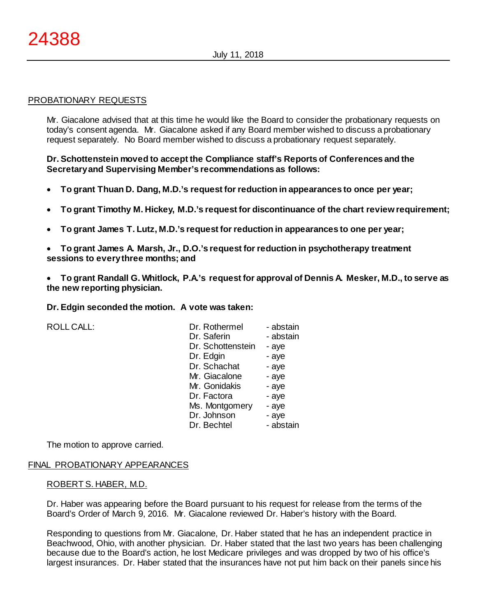#### PROBATIONARY REQUESTS

Mr. Giacalone advised that at this time he would like the Board to consider the probationary requests on today's consent agenda. Mr. Giacalone asked if any Board member wished to discuss a probationary request separately. No Board member wished to discuss a probationary request separately.

## **Dr. Schottenstein moved to accept the Compliance staff's Reports of Conferences and the Secretary and Supervising Member's recommendations as follows:**

- **To grant Thuan D. Dang, M.D.'s request for reduction in appearances to once per year;**
- **To grant Timothy M. Hickey, M.D.'s request for discontinuance of the chart review requirement;**
- **To grant James T. Lutz, M.D.'s request for reduction in appearances to one per year;**

• **To grant James A. Marsh, Jr., D.O.'s request for reduction in psychotherapy treatment sessions to every three months; and**

• **To grant Randall G. Whitlock, P.A.'s request for approval of Dennis A. Mesker, M.D., to serve as the new reporting physician.**

**Dr. Edgin seconded the motion. A vote was taken:**

ROLL CALL: Dr. Rothermel

| Dr. Rothermel     | - abstain |
|-------------------|-----------|
| Dr. Saferin       | - abstain |
| Dr. Schottenstein | - aye     |
| Dr. Edgin         | - aye     |
| Dr. Schachat      | - aye     |
| Mr. Giacalone     | - aye     |
| Mr. Gonidakis     | - aye     |
| Dr. Factora       | - aye     |
| Ms. Montgomery    | - aye     |
| Dr. Johnson       | - aye     |
| Dr. Bechtel       | - abstain |

The motion to approve carried.

#### FINAL PROBATIONARY APPEARANCES

#### ROBERT S. HABER, M.D.

Dr. Haber was appearing before the Board pursuant to his request for release from the terms of the Board's Order of March 9, 2016. Mr. Giacalone reviewed Dr. Haber's history with the Board.

Responding to questions from Mr. Giacalone, Dr. Haber stated that he has an independent practice in Beachwood, Ohio, with another physician. Dr. Haber stated that the last two years has been challenging because due to the Board's action, he lost Medicare privileges and was dropped by two of his office's largest insurances. Dr. Haber stated that the insurances have not put him back on their panels since his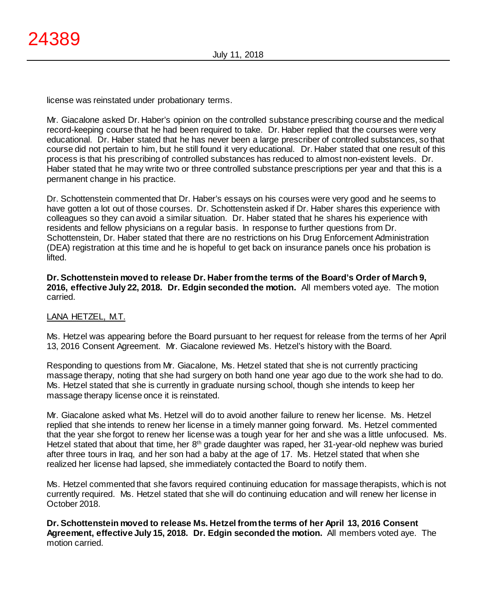license was reinstated under probationary terms.

Mr. Giacalone asked Dr. Haber's opinion on the controlled substance prescribing course and the medical record-keeping course that he had been required to take. Dr. Haber replied that the courses were very educational. Dr. Haber stated that he has never been a large prescriber of controlled substances, so that course did not pertain to him, but he still found it very educational. Dr. Haber stated that one result of this process is that his prescribing of controlled substances has reduced to almost non-existent levels. Dr. Haber stated that he may write two or three controlled substance prescriptions per year and that this is a permanent change in his practice.

Dr. Schottenstein commented that Dr. Haber's essays on his courses were very good and he seems to have gotten a lot out of those courses. Dr. Schottenstein asked if Dr. Haber shares this experience with colleagues so they can avoid a similar situation. Dr. Haber stated that he shares his experience with residents and fellow physicians on a regular basis. In response to further questions from Dr. Schottenstein, Dr. Haber stated that there are no restrictions on his Drug Enforcement Administration (DEA) registration at this time and he is hopeful to get back on insurance panels once his probation is lifted.

**Dr. Schottenstein moved to release Dr. Haber from the terms of the Board's Order of March 9, 2016, effective July 22, 2018. Dr. Edgin seconded the motion.** All members voted aye. The motion carried.

## LANA HETZEL, M.T.

Ms. Hetzel was appearing before the Board pursuant to her request for release from the terms of her April 13, 2016 Consent Agreement. Mr. Giacalone reviewed Ms. Hetzel's history with the Board.

Responding to questions from Mr. Giacalone, Ms. Hetzel stated that she is not currently practicing massage therapy, noting that she had surgery on both hand one year ago due to the work she had to do. Ms. Hetzel stated that she is currently in graduate nursing school, though she intends to keep her massage therapy license once it is reinstated.

Mr. Giacalone asked what Ms. Hetzel will do to avoid another failure to renew her license. Ms. Hetzel replied that she intends to renew her license in a timely manner going forward. Ms. Hetzel commented that the year she forgot to renew her license was a tough year for her and she was a little unfocused. Ms. Hetzel stated that about that time, her 8<sup>th</sup> grade daughter was raped, her 31-year-old nephew was buried after three tours in Iraq, and her son had a baby at the age of 17. Ms. Hetzel stated that when she realized her license had lapsed, she immediately contacted the Board to notify them.

Ms. Hetzel commented that she favors required continuing education for massage therapists, which is not currently required. Ms. Hetzel stated that she will do continuing education and will renew her license in October 2018.

**Dr. Schottenstein moved to release Ms. Hetzel from the terms of her April 13, 2016 Consent Agreement, effective July 15, 2018. Dr. Edgin seconded the motion.** All members voted aye. The motion carried.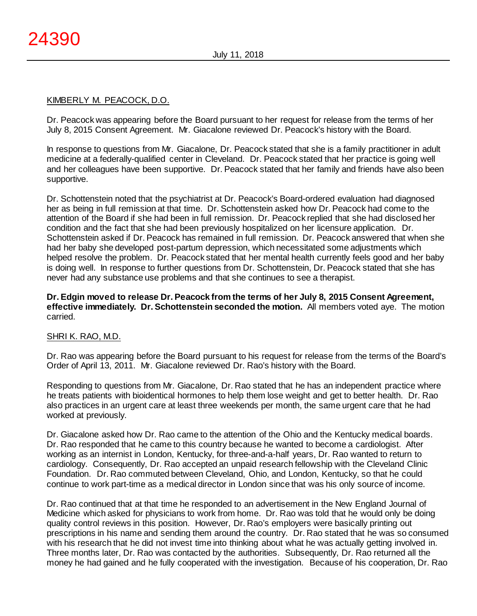## KIMBERLY M. PEACOCK, D.O.

Dr. Peacock was appearing before the Board pursuant to her request for release from the terms of her July 8, 2015 Consent Agreement. Mr. Giacalone reviewed Dr. Peacock's history with the Board.

In response to questions from Mr. Giacalone, Dr. Peacock stated that she is a family practitioner in adult medicine at a federally-qualified center in Cleveland. Dr. Peacock stated that her practice is going well and her colleagues have been supportive. Dr. Peacock stated that her family and friends have also been supportive.

Dr. Schottenstein noted that the psychiatrist at Dr. Peacock's Board-ordered evaluation had diagnosed her as being in full remission at that time. Dr. Schottenstein asked how Dr. Peacock had come to the attention of the Board if she had been in full remission. Dr. Peacock replied that she had disclosed her condition and the fact that she had been previously hospitalized on her licensure application. Dr. Schottenstein asked if Dr. Peacock has remained in full remission. Dr. Peacock answered that when she had her baby she developed post-partum depression, which necessitated some adjustments which helped resolve the problem. Dr. Peacock stated that her mental health currently feels good and her baby is doing well. In response to further questions from Dr. Schottenstein, Dr. Peacock stated that she has never had any substance use problems and that she continues to see a therapist.

## **Dr. Edgin moved to release Dr. Peacock from the terms of her July 8, 2015 Consent Agreement, effective immediately. Dr. Schottenstein seconded the motion.** All members voted aye. The motion carried.

## SHRI K. RAO, M.D.

Dr. Rao was appearing before the Board pursuant to his request for release from the terms of the Board's Order of April 13, 2011. Mr. Giacalone reviewed Dr. Rao's history with the Board.

Responding to questions from Mr. Giacalone, Dr. Rao stated that he has an independent practice where he treats patients with bioidentical hormones to help them lose weight and get to better health. Dr. Rao also practices in an urgent care at least three weekends per month, the same urgent care that he had worked at previously.

Dr. Giacalone asked how Dr. Rao came to the attention of the Ohio and the Kentucky medical boards. Dr. Rao responded that he came to this country because he wanted to become a cardiologist. After working as an internist in London, Kentucky, for three-and-a-half years, Dr. Rao wanted to return to cardiology. Consequently, Dr. Rao accepted an unpaid research fellowship with the Cleveland Clinic Foundation. Dr. Rao commuted between Cleveland, Ohio, and London, Kentucky, so that he could continue to work part-time as a medical director in London since that was his only source of income.

Dr. Rao continued that at that time he responded to an advertisement in the New England Journal of Medicine which asked for physicians to work from home. Dr. Rao was told that he would only be doing quality control reviews in this position. However, Dr. Rao's employers were basically printing out prescriptions in his name and sending them around the country. Dr. Rao stated that he was so consumed with his research that he did not invest time into thinking about what he was actually getting involved in. Three months later, Dr. Rao was contacted by the authorities. Subsequently, Dr. Rao returned all the money he had gained and he fully cooperated with the investigation. Because of his cooperation, Dr. Rao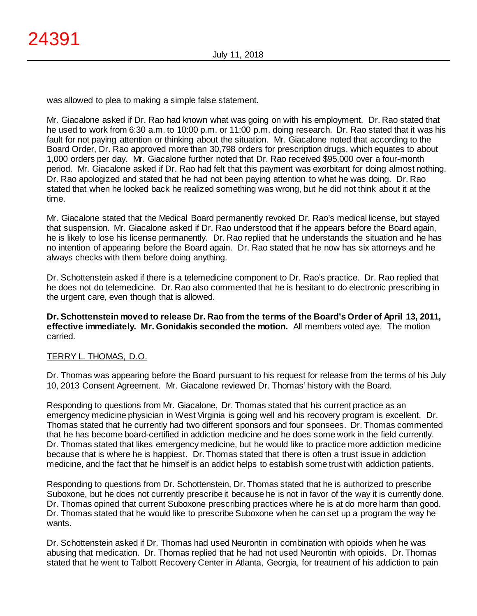was allowed to plea to making a simple false statement.

Mr. Giacalone asked if Dr. Rao had known what was going on with his employment. Dr. Rao stated that he used to work from 6:30 a.m. to 10:00 p.m. or 11:00 p.m. doing research. Dr. Rao stated that it was his fault for not paying attention or thinking about the situation. Mr. Giacalone noted that according to the Board Order, Dr. Rao approved more than 30,798 orders for prescription drugs, which equates to about 1,000 orders per day. Mr. Giacalone further noted that Dr. Rao received \$95,000 over a four-month period. Mr. Giacalone asked if Dr. Rao had felt that this payment was exorbitant for doing almost nothing. Dr. Rao apologized and stated that he had not been paying attention to what he was doing. Dr. Rao stated that when he looked back he realized something was wrong, but he did not think about it at the time.

Mr. Giacalone stated that the Medical Board permanently revoked Dr. Rao's medical license, but stayed that suspension. Mr. Giacalone asked if Dr. Rao understood that if he appears before the Board again, he is likely to lose his license permanently. Dr. Rao replied that he understands the situation and he has no intention of appearing before the Board again. Dr. Rao stated that he now has six attorneys and he always checks with them before doing anything.

Dr. Schottenstein asked if there is a telemedicine component to Dr. Rao's practice. Dr. Rao replied that he does not do telemedicine. Dr. Rao also commented that he is hesitant to do electronic prescribing in the urgent care, even though that is allowed.

**Dr. Schottenstein moved to release Dr. Rao from the terms of the Board's Order of April 13, 2011, effective immediately. Mr. Gonidakis seconded the motion.** All members voted aye. The motion carried.

## TERRY L. THOMAS, D.O.

Dr. Thomas was appearing before the Board pursuant to his request for release from the terms of his July 10, 2013 Consent Agreement. Mr. Giacalone reviewed Dr. Thomas' history with the Board.

Responding to questions from Mr. Giacalone, Dr. Thomas stated that his current practice as an emergency medicine physician in West Virginia is going well and his recovery program is excellent. Dr. Thomas stated that he currently had two different sponsors and four sponsees. Dr. Thomas commented that he has become board-certified in addiction medicine and he does some work in the field currently. Dr. Thomas stated that likes emergency medicine, but he would like to practice more addiction medicine because that is where he is happiest. Dr. Thomas stated that there is often a trust issue in addiction medicine, and the fact that he himself is an addict helps to establish some trust with addiction patients.

Responding to questions from Dr. Schottenstein, Dr. Thomas stated that he is authorized to prescribe Suboxone, but he does not currently prescribe it because he is not in favor of the way it is currently done. Dr. Thomas opined that current Suboxone prescribing practices where he is at do more harm than good. Dr. Thomas stated that he would like to prescribe Suboxone when he can set up a program the way he wants.

Dr. Schottenstein asked if Dr. Thomas had used Neurontin in combination with opioids when he was abusing that medication. Dr. Thomas replied that he had not used Neurontin with opioids. Dr. Thomas stated that he went to Talbott Recovery Center in Atlanta, Georgia, for treatment of his addiction to pain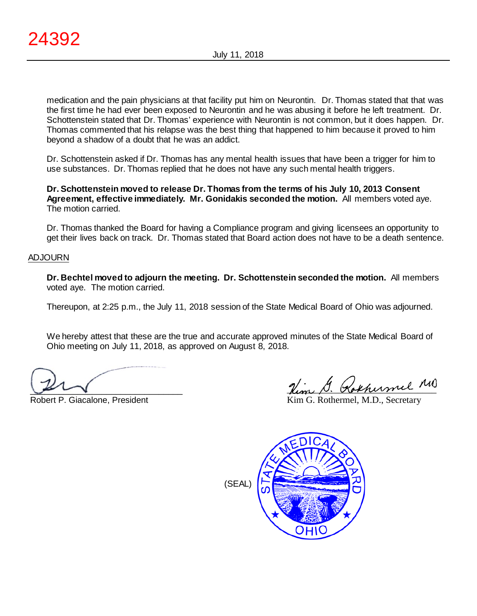medication and the pain physicians at that facility put him on Neurontin. Dr. Thomas stated that that was the first time he had ever been exposed to Neurontin and he was abusing it before he left treatment. Dr. Schottenstein stated that Dr. Thomas' experience with Neurontin is not common, but it does happen. Dr. Thomas commented that his relapse was the best thing that happened to him because it proved to him beyond a shadow of a doubt that he was an addict.

Dr. Schottenstein asked if Dr. Thomas has any mental health issues that have been a trigger for him to use substances. Dr. Thomas replied that he does not have any such mental health triggers.

**Dr. Schottenstein moved to release Dr. Thomas from the terms of his July 10, 2013 Consent Agreement, effective immediately. Mr. Gonidakis seconded the motion.** All members voted aye. The motion carried.

Dr. Thomas thanked the Board for having a Compliance program and giving licensees an opportunity to get their lives back on track. Dr. Thomas stated that Board action does not have to be a death sentence.

#### ADJOURN

**Dr. Bechtel moved to adjourn the meeting. Dr. Schottenstein seconded the motion.** All members voted aye. The motion carried.

Thereupon, at 2:25 p.m., the July 11, 2018 session of the State Medical Board of Ohio was adjourned.

We hereby attest that these are the true and accurate approved minutes of the State Medical Board of Ohio meeting on July 11, 2018, as approved on August 8, 2018.

 $\sqrt{2}$ 

Robert P. Giacalone, President

Rem D. Kokhenmel

Kim G. Rothermel, M.D., Secretary

(SEAL)

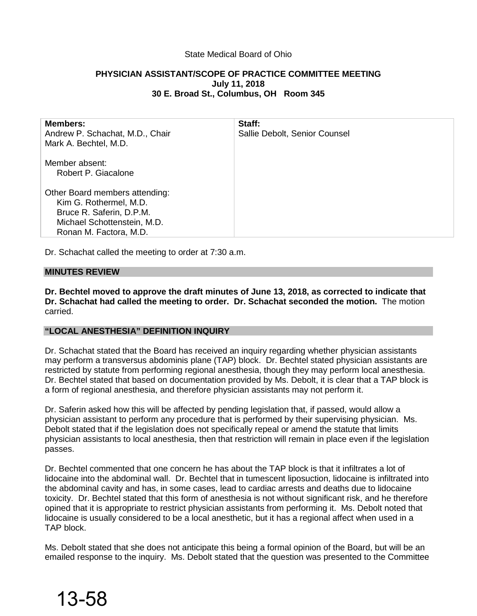## State Medical Board of Ohio

## **PHYSICIAN ASSISTANT/SCOPE OF PRACTICE COMMITTEE MEETING July 11, 2018 30 E. Broad St., Columbus, OH Room 345**

| <b>Members:</b><br>Andrew P. Schachat, M.D., Chair<br>Mark A. Bechtel, M.D.                                                                   | Staff:<br>Sallie Debolt, Senior Counsel |
|-----------------------------------------------------------------------------------------------------------------------------------------------|-----------------------------------------|
| Member absent:<br>Robert P. Giacalone                                                                                                         |                                         |
| Other Board members attending:<br>Kim G. Rothermel, M.D.<br>Bruce R. Saferin, D.P.M.<br>Michael Schottenstein, M.D.<br>Ronan M. Factora, M.D. |                                         |

Dr. Schachat called the meeting to order at 7:30 a.m.

#### **MINUTES REVIEW**

13-58

**Dr. Bechtel moved to approve the draft minutes of June 13, 2018, as corrected to indicate that Dr. Schachat had called the meeting to order. Dr. Schachat seconded the motion.** The motion carried.

## **"LOCAL ANESTHESIA" DEFINITION INQUIRY**

Dr. Schachat stated that the Board has received an inquiry regarding whether physician assistants may perform a transversus abdominis plane (TAP) block. Dr. Bechtel stated physician assistants are restricted by statute from performing regional anesthesia, though they may perform local anesthesia. Dr. Bechtel stated that based on documentation provided by Ms. Debolt, it is clear that a TAP block is a form of regional anesthesia, and therefore physician assistants may not perform it.

Dr. Saferin asked how this will be affected by pending legislation that, if passed, would allow a physician assistant to perform any procedure that is performed by their supervising physician. Ms. Debolt stated that if the legislation does not specifically repeal or amend the statute that limits physician assistants to local anesthesia, then that restriction will remain in place even if the legislation passes.

Dr. Bechtel commented that one concern he has about the TAP block is that it infiltrates a lot of lidocaine into the abdominal wall. Dr. Bechtel that in tumescent liposuction, lidocaine is infiltrated into the abdominal cavity and has, in some cases, lead to cardiac arrests and deaths due to lidocaine toxicity. Dr. Bechtel stated that this form of anesthesia is not without significant risk, and he therefore opined that it is appropriate to restrict physician assistants from performing it. Ms. Debolt noted that lidocaine is usually considered to be a local anesthetic, but it has a regional affect when used in a TAP block.

Ms. Debolt stated that she does not anticipate this being a formal opinion of the Board, but will be an emailed response to the inquiry. Ms. Debolt stated that the question was presented to the Committee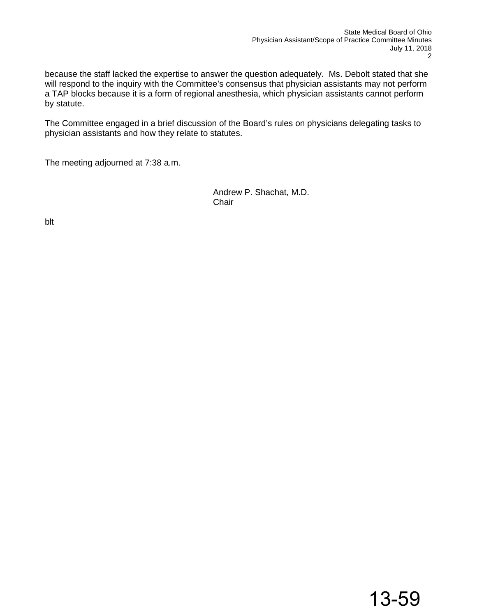because the staff lacked the expertise to answer the question adequately. Ms. Debolt stated that she will respond to the inquiry with the Committee's consensus that physician assistants may not perform a TAP blocks because it is a form of regional anesthesia, which physician assistants cannot perform by statute.

The Committee engaged in a brief discussion of the Board's rules on physicians delegating tasks to physician assistants and how they relate to statutes.

The meeting adjourned at 7:38 a.m.

 Andrew P. Shachat, M.D. in the contract of the contract of the contract of the contract of the contract of the contract of the contract of the contract of the contract of the contract of the contract of the contract of the contract of the contrac

blt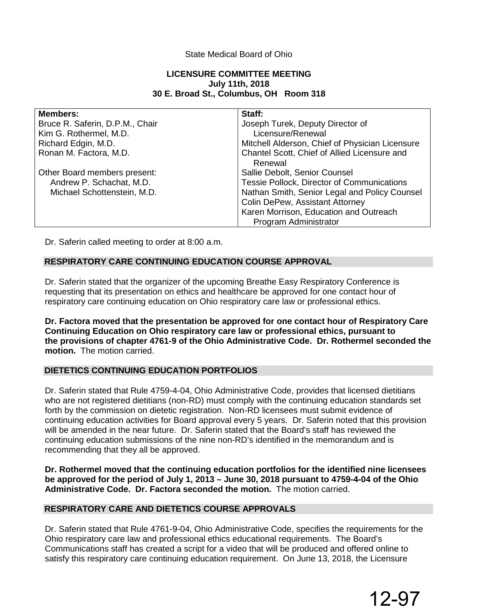## State Medical Board of Ohio

## **LICENSURE COMMITTEE MEETING July 11th, 2018 30 E. Broad St., Columbus, OH Room 318**

| <b>Members:</b>                 | Staff:                                          |
|---------------------------------|-------------------------------------------------|
| Bruce R. Saferin, D.P.M., Chair | Joseph Turek, Deputy Director of                |
| Kim G. Rothermel, M.D.          | Licensure/Renewal                               |
| Richard Edgin, M.D.             | Mitchell Alderson, Chief of Physician Licensure |
| Ronan M. Factora, M.D.          | Chantel Scott, Chief of Allied Licensure and    |
|                                 | Renewal                                         |
| Other Board members present:    | Sallie Debolt, Senior Counsel                   |
| Andrew P. Schachat, M.D.        | Tessie Pollock, Director of Communications      |
| Michael Schottenstein, M.D.     | Nathan Smith, Senior Legal and Policy Counsel   |
|                                 | Colin DePew, Assistant Attorney                 |
|                                 | Karen Morrison, Education and Outreach          |
|                                 | Program Administrator                           |

Dr. Saferin called meeting to order at 8:00 a.m.

## **RESPIRATORY CARE CONTINUING EDUCATION COURSE APPROVAL**

Dr. Saferin stated that the organizer of the upcoming Breathe Easy Respiratory Conference is requesting that its presentation on ethics and healthcare be approved for one contact hour of respiratory care continuing education on Ohio respiratory care law or professional ethics.

**Dr. Factora moved that the presentation be approved for one contact hour of Respiratory Care Continuing Education on Ohio respiratory care law or professional ethics, pursuant to the provisions of chapter 4761-9 of the Ohio Administrative Code. Dr. Rothermel seconded the motion.** The motion carried.

## **DIETETICS CONTINUING EDUCATION PORTFOLIOS**

Dr. Saferin stated that Rule 4759-4-04, Ohio Administrative Code, provides that licensed dietitians who are not registered dietitians (non-RD) must comply with the continuing education standards set forth by the commission on dietetic registration. Non-RD licensees must submit evidence of continuing education activities for Board approval every 5 years. Dr. Saferin noted that this provision will be amended in the near future. Dr. Saferin stated that the Board's staff has reviewed the continuing education submissions of the nine non-RD's identified in the memorandum and is recommending that they all be approved.

**Dr. Rothermel moved that the continuing education portfolios for the identified nine licensees be approved for the period of July 1, 2013 – June 30, 2018 pursuant to 4759-4-04 of the Ohio Administrative Code. Dr. Factora seconded the motion.** The motion carried.

## **RESPIRATORY CARE AND DIETETICS COURSE APPROVALS**

Dr. Saferin stated that Rule 4761-9-04, Ohio Administrative Code, specifies the requirements for the Ohio respiratory care law and professional ethics educational requirements. The Board's Communications staff has created a script for a video that will be produced and offered online to satisfy this respiratory care continuing education requirement. On June 13, 2018, the Licensure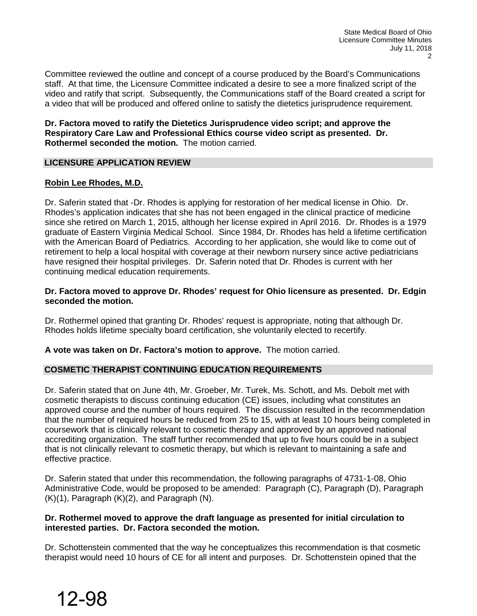Committee reviewed the outline and concept of a course produced by the Board's Communications staff. At that time, the Licensure Committee indicated a desire to see a more finalized script of the video and ratify that script. Subsequently, the Communications staff of the Board created a script for a video that will be produced and offered online to satisfy the dietetics jurisprudence requirement.

**Dr. Factora moved to ratify the Dietetics Jurisprudence video script; and approve the Respiratory Care Law and Professional Ethics course video script as presented. Dr. Rothermel seconded the motion.** The motion carried.

## **LICENSURE APPLICATION REVIEW**

## **Robin Lee Rhodes, M.D.**

Dr. Saferin stated that -Dr. Rhodes is applying for restoration of her medical license in Ohio. Dr. Rhodes's application indicates that she has not been engaged in the clinical practice of medicine since she retired on March 1, 2015, although her license expired in April 2016. Dr. Rhodes is a 1979 graduate of Eastern Virginia Medical School. Since 1984, Dr. Rhodes has held a lifetime certification with the American Board of Pediatrics. According to her application, she would like to come out of retirement to help a local hospital with coverage at their newborn nursery since active pediatricians have resigned their hospital privileges. Dr. Saferin noted that Dr. Rhodes is current with her continuing medical education requirements.

## **Dr. Factora moved to approve Dr. Rhodes' request for Ohio licensure as presented. Dr. Edgin seconded the motion.**

Dr. Rothermel opined that granting Dr. Rhodes' request is appropriate, noting that although Dr. Rhodes holds lifetime specialty board certification, she voluntarily elected to recertify.

**A vote was taken on Dr. Factora's motion to approve.** The motion carried.

## **COSMETIC THERAPIST CONTINUING EDUCATION REQUIREMENTS**

Dr. Saferin stated that on June 4th, Mr. Groeber, Mr. Turek, Ms. Schott, and Ms. Debolt met with cosmetic therapists to discuss continuing education (CE) issues, including what constitutes an approved course and the number of hours required. The discussion resulted in the recommendation that the number of required hours be reduced from 25 to 15, with at least 10 hours being completed in coursework that is clinically relevant to cosmetic therapy and approved by an approved national accrediting organization. The staff further recommended that up to five hours could be in a subject that is not clinically relevant to cosmetic therapy, but which is relevant to maintaining a safe and effective practice.

Dr. Saferin stated that under this recommendation, the following paragraphs of 4731-1-08, Ohio Administrative Code, would be proposed to be amended: Paragraph (C), Paragraph (D), Paragraph (K)(1), Paragraph (K)(2), and Paragraph (N).

## **Dr. Rothermel moved to approve the draft language as presented for initial circulation to interested parties. Dr. Factora seconded the motion.**

Dr. Schottenstein commented that the way he conceptualizes this recommendation is that cosmetic therapist would need 10 hours of CE for all intent and purposes. Dr. Schottenstein opined that the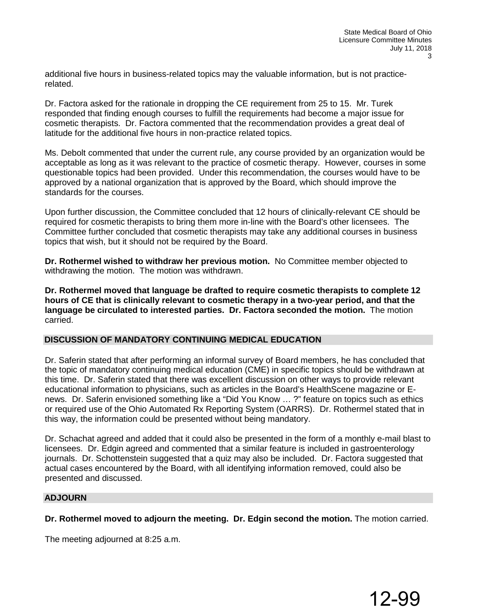additional five hours in business-related topics may the valuable information, but is not practicerelated.

Dr. Factora asked for the rationale in dropping the CE requirement from 25 to 15. Mr. Turek responded that finding enough courses to fulfill the requirements had become a major issue for cosmetic therapists. Dr. Factora commented that the recommendation provides a great deal of latitude for the additional five hours in non-practice related topics.

Ms. Debolt commented that under the current rule, any course provided by an organization would be acceptable as long as it was relevant to the practice of cosmetic therapy. However, courses in some questionable topics had been provided. Under this recommendation, the courses would have to be approved by a national organization that is approved by the Board, which should improve the standards for the courses.

Upon further discussion, the Committee concluded that 12 hours of clinically-relevant CE should be required for cosmetic therapists to bring them more in-line with the Board's other licensees. The Committee further concluded that cosmetic therapists may take any additional courses in business topics that wish, but it should not be required by the Board.

**Dr. Rothermel wished to withdraw her previous motion.** No Committee member objected to withdrawing the motion. The motion was withdrawn.

**Dr. Rothermel moved that language be drafted to require cosmetic therapists to complete 12 hours of CE that is clinically relevant to cosmetic therapy in a two-year period, and that the language be circulated to interested parties. Dr. Factora seconded the motion.** The motion carried.

#### **DISCUSSION OF MANDATORY CONTINUING MEDICAL EDUCATION**

Dr. Saferin stated that after performing an informal survey of Board members, he has concluded that the topic of mandatory continuing medical education (CME) in specific topics should be withdrawn at this time. Dr. Saferin stated that there was excellent discussion on other ways to provide relevant educational information to physicians, such as articles in the Board's HealthScene magazine or Enews. Dr. Saferin envisioned something like a "Did You Know … ?" feature on topics such as ethics or required use of the Ohio Automated Rx Reporting System (OARRS). Dr. Rothermel stated that in this way, the information could be presented without being mandatory.

Dr. Schachat agreed and added that it could also be presented in the form of a monthly e-mail blast to licensees. Dr. Edgin agreed and commented that a similar feature is included in gastroenterology journals. Dr. Schottenstein suggested that a quiz may also be included. Dr. Factora suggested that actual cases encountered by the Board, with all identifying information removed, could also be presented and discussed.

#### **ADJOURN**

## **Dr. Rothermel moved to adjourn the meeting. Dr. Edgin second the motion.** The motion carried.

The meeting adjourned at 8:25 a.m.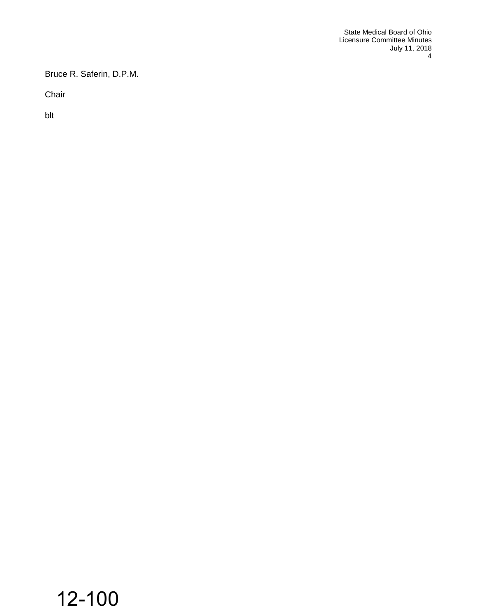Bruce R. Saferin, D.P.M.

Chair

blt

## 12-100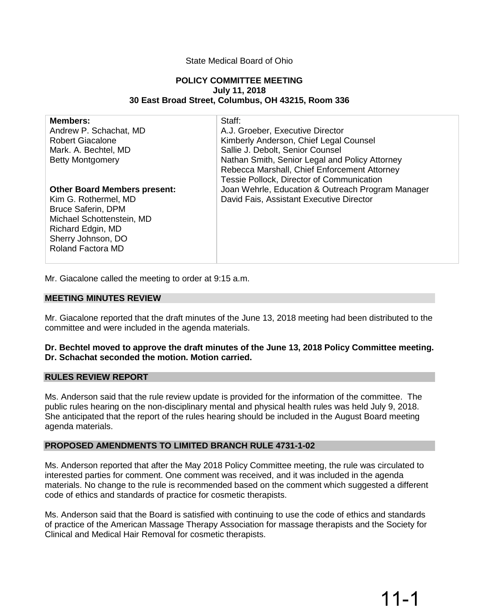## State Medical Board of Ohio

#### **POLICY COMMITTEE MEETING July 11, 2018 30 East Broad Street, Columbus, OH 43215, Room 336**

| <b>Members:</b><br>Andrew P. Schachat, MD<br><b>Robert Giacalone</b><br>Mark. A. Bechtel, MD<br><b>Betty Montgomery</b>                                                                      | Staff:<br>A.J. Groeber, Executive Director<br>Kimberly Anderson, Chief Legal Counsel<br>Sallie J. Debolt, Senior Counsel<br>Nathan Smith, Senior Legal and Policy Attorney<br>Rebecca Marshall, Chief Enforcement Attorney<br>Tessie Pollock, Director of Communication |
|----------------------------------------------------------------------------------------------------------------------------------------------------------------------------------------------|-------------------------------------------------------------------------------------------------------------------------------------------------------------------------------------------------------------------------------------------------------------------------|
| <b>Other Board Members present:</b><br>Kim G. Rothermel, MD<br><b>Bruce Saferin, DPM</b><br>Michael Schottenstein, MD<br>Richard Edgin, MD<br>Sherry Johnson, DO<br><b>Roland Factora MD</b> | Joan Wehrle, Education & Outreach Program Manager<br>David Fais, Assistant Executive Director                                                                                                                                                                           |

Mr. Giacalone called the meeting to order at 9:15 a.m.

#### **MEETING MINUTES REVIEW**

Mr. Giacalone reported that the draft minutes of the June 13, 2018 meeting had been distributed to the committee and were included in the agenda materials.

#### **Dr. Bechtel moved to approve the draft minutes of the June 13, 2018 Policy Committee meeting. Dr. Schachat seconded the motion. Motion carried.**

#### **RULES REVIEW REPORT**

Ms. Anderson said that the rule review update is provided for the information of the committee. The public rules hearing on the non-disciplinary mental and physical health rules was held July 9, 2018. She anticipated that the report of the rules hearing should be included in the August Board meeting agenda materials.

#### **PROPOSED AMENDMENTS TO LIMITED BRANCH RULE 4731-1-02**

Ms. Anderson reported that after the May 2018 Policy Committee meeting, the rule was circulated to interested parties for comment. One comment was received, and it was included in the agenda materials. No change to the rule is recommended based on the comment which suggested a different code of ethics and standards of practice for cosmetic therapists.

Ms. Anderson said that the Board is satisfied with continuing to use the code of ethics and standards of practice of the American Massage Therapy Association for massage therapists and the Society for Clinical and Medical Hair Removal for cosmetic therapists.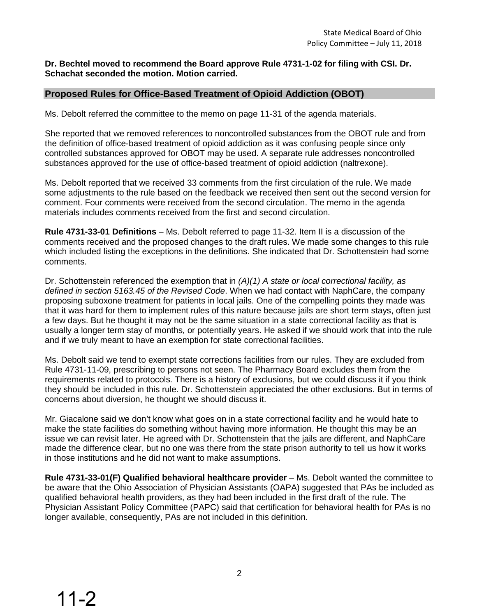#### **Dr. Bechtel moved to recommend the Board approve Rule 4731-1-02 for filing with CSI. Dr. Schachat seconded the motion. Motion carried.**

## **Proposed Rules for Office-Based Treatment of Opioid Addiction (OBOT)**

Ms. Debolt referred the committee to the memo on page 11-31 of the agenda materials.

She reported that we removed references to noncontrolled substances from the OBOT rule and from the definition of office-based treatment of opioid addiction as it was confusing people since only controlled substances approved for OBOT may be used. A separate rule addresses noncontrolled substances approved for the use of office-based treatment of opioid addiction (naltrexone).

Ms. Debolt reported that we received 33 comments from the first circulation of the rule. We made some adjustments to the rule based on the feedback we received then sent out the second version for comment. Four comments were received from the second circulation. The memo in the agenda materials includes comments received from the first and second circulation.

**Rule 4731-33-01 Definitions** – Ms. Debolt referred to page 11-32. Item II is a discussion of the comments received and the proposed changes to the draft rules. We made some changes to this rule which included listing the exceptions in the definitions. She indicated that Dr. Schottenstein had some comments.

Dr. Schottenstein referenced the exemption that in *(A)(1) A state or local correctional facility, as defined in section 5163.45 of the Revised Code*. When we had contact with NaphCare, the company proposing suboxone treatment for patients in local jails. One of the compelling points they made was that it was hard for them to implement rules of this nature because jails are short term stays, often just a few days. But he thought it may not be the same situation in a state correctional facility as that is usually a longer term stay of months, or potentially years. He asked if we should work that into the rule and if we truly meant to have an exemption for state correctional facilities.

Ms. Debolt said we tend to exempt state corrections facilities from our rules. They are excluded from Rule 4731-11-09, prescribing to persons not seen. The Pharmacy Board excludes them from the requirements related to protocols. There is a history of exclusions, but we could discuss it if you think they should be included in this rule. Dr. Schottenstein appreciated the other exclusions. But in terms of concerns about diversion, he thought we should discuss it.

Mr. Giacalone said we don't know what goes on in a state correctional facility and he would hate to make the state facilities do something without having more information. He thought this may be an issue we can revisit later. He agreed with Dr. Schottenstein that the jails are different, and NaphCare made the difference clear, but no one was there from the state prison authority to tell us how it works in those institutions and he did not want to make assumptions.

**Rule 4731-33-01(F) Qualified behavioral healthcare provider** – Ms. Debolt wanted the committee to be aware that the Ohio Association of Physician Assistants (OAPA) suggested that PAs be included as qualified behavioral health providers, as they had been included in the first draft of the rule. The Physician Assistant Policy Committee (PAPC) said that certification for behavioral health for PAs is no longer available, consequently, PAs are not included in this definition.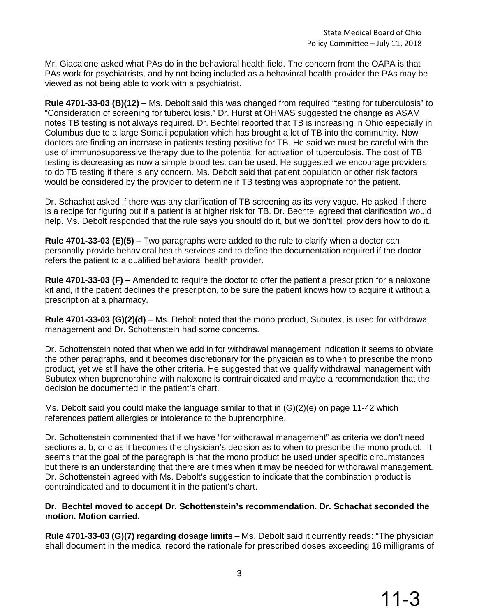Mr. Giacalone asked what PAs do in the behavioral health field. The concern from the OAPA is that PAs work for psychiatrists, and by not being included as a behavioral health provider the PAs may be viewed as not being able to work with a psychiatrist.

. **Rule 4701-33-03 (B)(12)** – Ms. Debolt said this was changed from required "testing for tuberculosis" to "Consideration of screening for tuberculosis." Dr. Hurst at OHMAS suggested the change as ASAM notes TB testing is not always required. Dr. Bechtel reported that TB is increasing in Ohio especially in Columbus due to a large Somali population which has brought a lot of TB into the community. Now doctors are finding an increase in patients testing positive for TB. He said we must be careful with the use of immunosuppressive therapy due to the potential for activation of tuberculosis. The cost of TB testing is decreasing as now a simple blood test can be used. He suggested we encourage providers to do TB testing if there is any concern. Ms. Debolt said that patient population or other risk factors would be considered by the provider to determine if TB testing was appropriate for the patient.

Dr. Schachat asked if there was any clarification of TB screening as its very vague. He asked If there is a recipe for figuring out if a patient is at higher risk for TB. Dr. Bechtel agreed that clarification would help. Ms. Debolt responded that the rule says you should do it, but we don't tell providers how to do it.

**Rule 4701-33-03 (E)(5)** – Two paragraphs were added to the rule to clarify when a doctor can personally provide behavioral health services and to define the documentation required if the doctor refers the patient to a qualified behavioral health provider.

**Rule 4701-33-03 (F)** – Amended to require the doctor to offer the patient a prescription for a naloxone kit and, if the patient declines the prescription, to be sure the patient knows how to acquire it without a prescription at a pharmacy.

**Rule 4701-33-03 (G)(2)(d)** – Ms. Debolt noted that the mono product, Subutex, is used for withdrawal management and Dr. Schottenstein had some concerns.

Dr. Schottenstein noted that when we add in for withdrawal management indication it seems to obviate the other paragraphs, and it becomes discretionary for the physician as to when to prescribe the mono product, yet we still have the other criteria. He suggested that we qualify withdrawal management with Subutex when buprenorphine with naloxone is contraindicated and maybe a recommendation that the decision be documented in the patient's chart.

Ms. Debolt said you could make the language similar to that in (G)(2)(e) on page 11-42 which references patient allergies or intolerance to the buprenorphine.

Dr. Schottenstein commented that if we have "for withdrawal management" as criteria we don't need sections a, b, or c as it becomes the physician's decision as to when to prescribe the mono product. It seems that the goal of the paragraph is that the mono product be used under specific circumstances but there is an understanding that there are times when it may be needed for withdrawal management. Dr. Schottenstein agreed with Ms. Debolt's suggestion to indicate that the combination product is contraindicated and to document it in the patient's chart.

## **Dr. Bechtel moved to accept Dr. Schottenstein's recommendation. Dr. Schachat seconded the motion. Motion carried.**

**Rule 4701-33-03 (G)(7) regarding dosage limits** – Ms. Debolt said it currently reads: "The physician shall document in the medical record the rationale for prescribed doses exceeding 16 milligrams of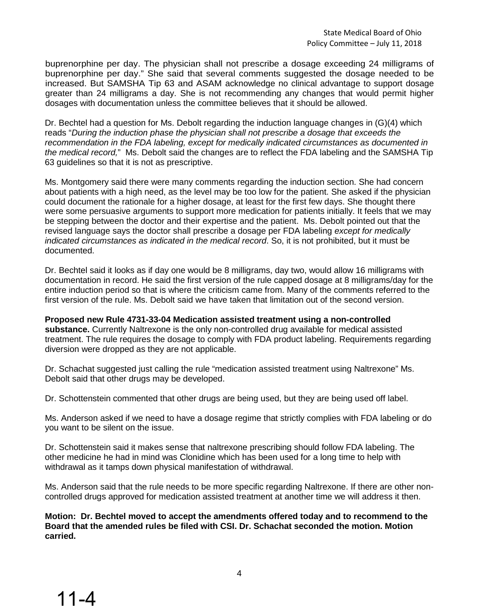buprenorphine per day. The physician shall not prescribe a dosage exceeding 24 milligrams of buprenorphine per day." She said that several comments suggested the dosage needed to be increased. But SAMSHA Tip 63 and ASAM acknowledge no clinical advantage to support dosage greater than 24 milligrams a day. She is not recommending any changes that would permit higher dosages with documentation unless the committee believes that it should be allowed.

Dr. Bechtel had a question for Ms. Debolt regarding the induction language changes in (G)(4) which reads "*During the induction phase the physician shall not prescribe a dosage that exceeds the recommendation in the FDA labeling, except for medically indicated circumstances as documented in the medical record,*" Ms. Debolt said the changes are to reflect the FDA labeling and the SAMSHA Tip 63 guidelines so that it is not as prescriptive.

Ms. Montgomery said there were many comments regarding the induction section. She had concern about patients with a high need, as the level may be too low for the patient. She asked if the physician could document the rationale for a higher dosage, at least for the first few days. She thought there were some persuasive arguments to support more medication for patients initially. It feels that we may be stepping between the doctor and their expertise and the patient. Ms. Debolt pointed out that the revised language says the doctor shall prescribe a dosage per FDA labeling *except for medically indicated circumstances as indicated in the medical record*. So, it is not prohibited, but it must be documented.

Dr. Bechtel said it looks as if day one would be 8 milligrams, day two, would allow 16 milligrams with documentation in record. He said the first version of the rule capped dosage at 8 milligrams/day for the entire induction period so that is where the criticism came from. Many of the comments referred to the first version of the rule. Ms. Debolt said we have taken that limitation out of the second version.

**Proposed new Rule 4731-33-04 Medication assisted treatment using a non-controlled substance.** Currently Naltrexone is the only non-controlled drug available for medical assisted treatment. The rule requires the dosage to comply with FDA product labeling. Requirements regarding diversion were dropped as they are not applicable.

Dr. Schachat suggested just calling the rule "medication assisted treatment using Naltrexone" Ms. Debolt said that other drugs may be developed.

Dr. Schottenstein commented that other drugs are being used, but they are being used off label.

Ms. Anderson asked if we need to have a dosage regime that strictly complies with FDA labeling or do you want to be silent on the issue.

Dr. Schottenstein said it makes sense that naltrexone prescribing should follow FDA labeling. The other medicine he had in mind was Clonidine which has been used for a long time to help with withdrawal as it tamps down physical manifestation of withdrawal.

Ms. Anderson said that the rule needs to be more specific regarding Naltrexone. If there are other noncontrolled drugs approved for medication assisted treatment at another time we will address it then.

**Motion: Dr. Bechtel moved to accept the amendments offered today and to recommend to the Board that the amended rules be filed with CSI. Dr. Schachat seconded the motion. Motion carried.**

11-4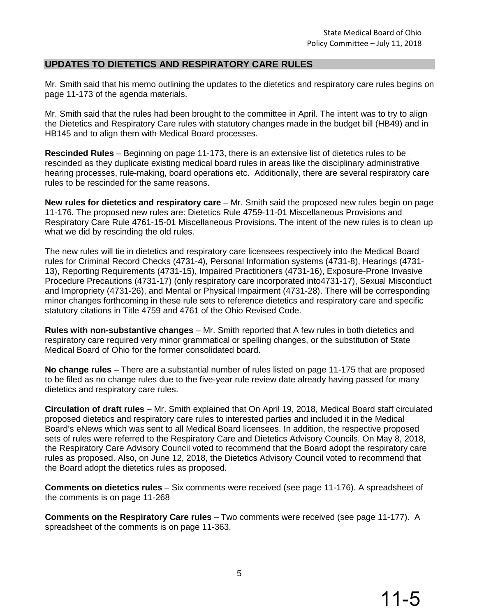## **UPDATES TO DIETETICS AND RESPIRATORY CARE RULES**

Mr. Smith said that his memo outlining the updates to the dietetics and respiratory care rules begins on page 11-173 of the agenda materials.

Mr. Smith said that the rules had been brought to the committee in April. The intent was to try to align the Dietetics and Respiratory Care rules with statutory changes made in the budget bill (HB49) and in HB145 and to align them with Medical Board processes.

**Rescinded Rules** – Beginning on page 11-173, there is an extensive list of dietetics rules to be rescinded as they duplicate existing medical board rules in areas like the disciplinary administrative hearing processes, rule-making, board operations etc. Additionally, there are several respiratory care rules to be rescinded for the same reasons.

**New rules for dietetics and respiratory care** – Mr. Smith said the proposed new rules begin on page 11-176*.* The proposed new rules are: Dietetics Rule 4759-11-01 Miscellaneous Provisions and Respiratory Care Rule 4761-15-01 Miscellaneous Provisions. The intent of the new rules is to clean up what we did by rescinding the old rules.

The new rules will tie in dietetics and respiratory care licensees respectively into the Medical Board rules for Criminal Record Checks (4731-4), Personal Information systems (4731-8), Hearings (4731- 13), Reporting Requirements (4731-15), Impaired Practitioners (4731-16), Exposure-Prone Invasive Procedure Precautions (4731-17) (only respiratory care incorporated into4731-17), Sexual Misconduct and Impropriety (4731-26), and Mental or Physical Impairment (4731-28). There will be corresponding minor changes forthcoming in these rule sets to reference dietetics and respiratory care and specific statutory citations in Title 4759 and 4761 of the Ohio Revised Code.

**Rules with non-substantive changes** – Mr. Smith reported that A few rules in both dietetics and respiratory care required very minor grammatical or spelling changes, or the substitution of State Medical Board of Ohio for the former consolidated board.

**No change rules** – There are a substantial number of rules listed on page 11-175 that are proposed to be filed as no change rules due to the five-year rule review date already having passed for many dietetics and respiratory care rules.

**Circulation of draft rules** – Mr. Smith explained that On April 19, 2018, Medical Board staff circulated proposed dietetics and respiratory care rules to interested parties and included it in the Medical Board's eNews which was sent to all Medical Board licensees. In addition, the respective proposed sets of rules were referred to the Respiratory Care and Dietetics Advisory Councils. On May 8, 2018, the Respiratory Care Advisory Council voted to recommend that the Board adopt the respiratory care rules as proposed. Also, on June 12, 2018, the Dietetics Advisory Council voted to recommend that the Board adopt the dietetics rules as proposed.

**Comments on dietetics rules** – Six comments were received (see page 11-176). A spreadsheet of the comments is on page 11-268

**Comments on the Respiratory Care rules** – Two comments were received (see page 11-177). A spreadsheet of the comments is on page 11-363.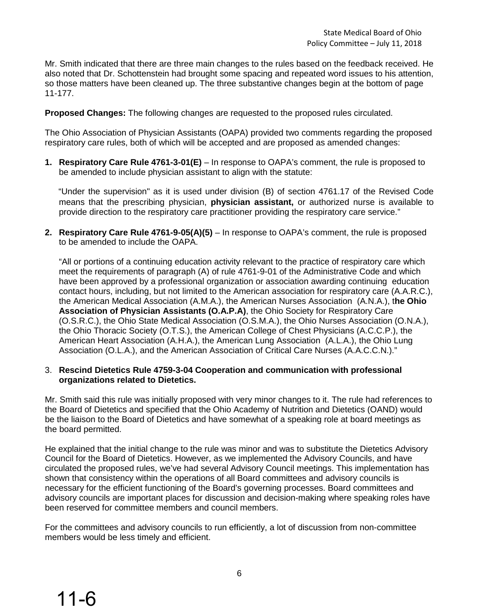Mr. Smith indicated that there are three main changes to the rules based on the feedback received. He also noted that Dr. Schottenstein had brought some spacing and repeated word issues to his attention, so those matters have been cleaned up. The three substantive changes begin at the bottom of page 11-177.

**Proposed Changes:** The following changes are requested to the proposed rules circulated.

The Ohio Association of Physician Assistants (OAPA) provided two comments regarding the proposed respiratory care rules, both of which will be accepted and are proposed as amended changes:

**1. Respiratory Care Rule 4761-3-01(E)** – In response to OAPA's comment, the rule is proposed to be amended to include physician assistant to align with the statute:

"Under the supervision" as it is used under division (B) of section 4761.17 of the Revised Code means that the prescribing physician, **physician assistant,** or authorized nurse is available to provide direction to the respiratory care practitioner providing the respiratory care service."

**2. Respiratory Care Rule 4761-9-05(A)(5)** – In response to OAPA's comment, the rule is proposed to be amended to include the OAPA.

"All or portions of a continuing education activity relevant to the practice of respiratory care which meet the requirements of paragraph (A) of rule 4761-9-01 of the Administrative Code and which have been approved by a professional organization or association awarding continuing education contact hours, including, but not limited to the American association for respiratory care (A.A.R.C.), the American Medical Association (A.M.A.), the American Nurses Association (A.N.A.), t**he Ohio Association of Physician Assistants (O.A.P.A)**, the Ohio Society for Respiratory Care (O.S.R.C.), the Ohio State Medical Association (O.S.M.A.), the Ohio Nurses Association (O.N.A.), the Ohio Thoracic Society (O.T.S.), the American College of Chest Physicians (A.C.C.P.), the American Heart Association (A.H.A.), the American Lung Association (A.L.A.), the Ohio Lung Association (O.L.A.), and the American Association of Critical Care Nurses (A.A.C.C.N.)."

## 3. **Rescind Dietetics Rule 4759-3-04 Cooperation and communication with professional organizations related to Dietetics.**

Mr. Smith said this rule was initially proposed with very minor changes to it. The rule had references to the Board of Dietetics and specified that the Ohio Academy of Nutrition and Dietetics (OAND) would be the liaison to the Board of Dietetics and have somewhat of a speaking role at board meetings as the board permitted.

He explained that the initial change to the rule was minor and was to substitute the Dietetics Advisory Council for the Board of Dietetics. However, as we implemented the Advisory Councils, and have circulated the proposed rules, we've had several Advisory Council meetings. This implementation has shown that consistency within the operations of all Board committees and advisory councils is necessary for the efficient functioning of the Board's governing processes. Board committees and advisory councils are important places for discussion and decision-making where speaking roles have been reserved for committee members and council members.

For the committees and advisory councils to run efficiently, a lot of discussion from non-committee members would be less timely and efficient.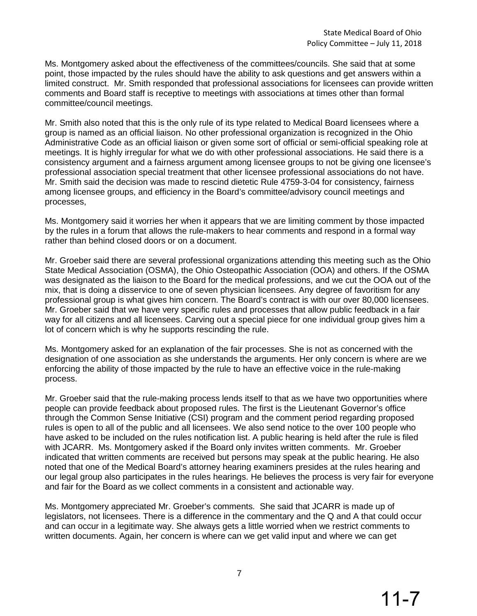Ms. Montgomery asked about the effectiveness of the committees/councils. She said that at some point, those impacted by the rules should have the ability to ask questions and get answers within a limited construct. Mr. Smith responded that professional associations for licensees can provide written comments and Board staff is receptive to meetings with associations at times other than formal committee/council meetings.

Mr. Smith also noted that this is the only rule of its type related to Medical Board licensees where a group is named as an official liaison. No other professional organization is recognized in the Ohio Administrative Code as an official liaison or given some sort of official or semi-official speaking role at meetings. It is highly irregular for what we do with other professional associations. He said there is a consistency argument and a fairness argument among licensee groups to not be giving one licensee's professional association special treatment that other licensee professional associations do not have. Mr. Smith said the decision was made to rescind dietetic Rule 4759-3-04 for consistency, fairness among licensee groups, and efficiency in the Board's committee/advisory council meetings and processes,

Ms. Montgomery said it worries her when it appears that we are limiting comment by those impacted by the rules in a forum that allows the rule-makers to hear comments and respond in a formal way rather than behind closed doors or on a document.

Mr. Groeber said there are several professional organizations attending this meeting such as the Ohio State Medical Association (OSMA), the Ohio Osteopathic Association (OOA) and others. If the OSMA was designated as the liaison to the Board for the medical professions, and we cut the OOA out of the mix, that is doing a disservice to one of seven physician licensees. Any degree of favoritism for any professional group is what gives him concern. The Board's contract is with our over 80,000 licensees. Mr. Groeber said that we have very specific rules and processes that allow public feedback in a fair way for all citizens and all licensees. Carving out a special piece for one individual group gives him a lot of concern which is why he supports rescinding the rule.

Ms. Montgomery asked for an explanation of the fair processes. She is not as concerned with the designation of one association as she understands the arguments. Her only concern is where are we enforcing the ability of those impacted by the rule to have an effective voice in the rule-making process.

Mr. Groeber said that the rule-making process lends itself to that as we have two opportunities where people can provide feedback about proposed rules. The first is the Lieutenant Governor's office through the Common Sense Initiative (CSI) program and the comment period regarding proposed rules is open to all of the public and all licensees. We also send notice to the over 100 people who have asked to be included on the rules notification list. A public hearing is held after the rule is filed with JCARR. Ms. Montgomery asked if the Board only invites written comments. Mr. Groeber indicated that written comments are received but persons may speak at the public hearing. He also noted that one of the Medical Board's attorney hearing examiners presides at the rules hearing and our legal group also participates in the rules hearings. He believes the process is very fair for everyone and fair for the Board as we collect comments in a consistent and actionable way.

Ms. Montgomery appreciated Mr. Groeber's comments. She said that JCARR is made up of legislators, not licensees. There is a difference in the commentary and the Q and A that could occur and can occur in a legitimate way. She always gets a little worried when we restrict comments to written documents. Again, her concern is where can we get valid input and where we can get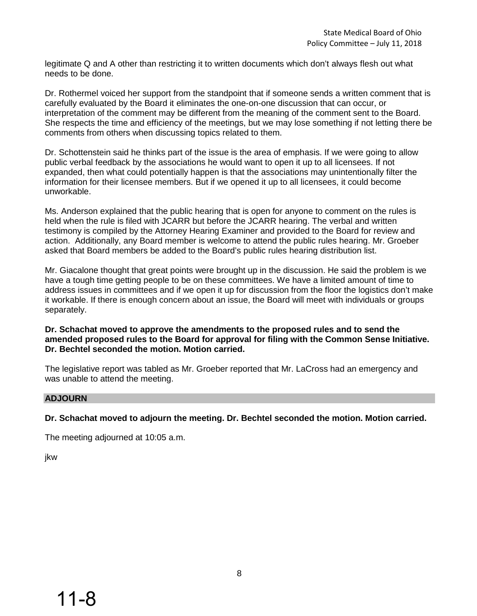legitimate Q and A other than restricting it to written documents which don't always flesh out what needs to be done.

Dr. Rothermel voiced her support from the standpoint that if someone sends a written comment that is carefully evaluated by the Board it eliminates the one-on-one discussion that can occur, or interpretation of the comment may be different from the meaning of the comment sent to the Board. She respects the time and efficiency of the meetings, but we may lose something if not letting there be comments from others when discussing topics related to them.

Dr. Schottenstein said he thinks part of the issue is the area of emphasis. If we were going to allow public verbal feedback by the associations he would want to open it up to all licensees. If not expanded, then what could potentially happen is that the associations may unintentionally filter the information for their licensee members. But if we opened it up to all licensees, it could become unworkable.

Ms. Anderson explained that the public hearing that is open for anyone to comment on the rules is held when the rule is filed with JCARR but before the JCARR hearing. The verbal and written testimony is compiled by the Attorney Hearing Examiner and provided to the Board for review and action. Additionally, any Board member is welcome to attend the public rules hearing. Mr. Groeber asked that Board members be added to the Board's public rules hearing distribution list.

Mr. Giacalone thought that great points were brought up in the discussion. He said the problem is we have a tough time getting people to be on these committees. We have a limited amount of time to address issues in committees and if we open it up for discussion from the floor the logistics don't make it workable. If there is enough concern about an issue, the Board will meet with individuals or groups separately.

## **Dr. Schachat moved to approve the amendments to the proposed rules and to send the amended proposed rules to the Board for approval for filing with the Common Sense Initiative. Dr. Bechtel seconded the motion. Motion carried.**

The legislative report was tabled as Mr. Groeber reported that Mr. LaCross had an emergency and was unable to attend the meeting.

## **ADJOURN**

**Dr. Schachat moved to adjourn the meeting. Dr. Bechtel seconded the motion. Motion carried.**

The meeting adjourned at 10:05 a.m.

jkw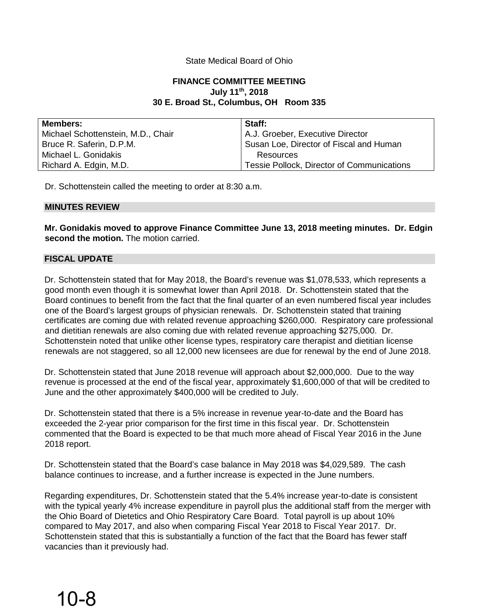## State Medical Board of Ohio

## **FINANCE COMMITTEE MEETING July 11th, 2018 30 E. Broad St., Columbus, OH Room 335**

| <b>Members:</b>                    | Staff:                                     |
|------------------------------------|--------------------------------------------|
| Michael Schottenstein, M.D., Chair | A.J. Groeber, Executive Director           |
| Bruce R. Saferin, D.P.M.           | Susan Loe, Director of Fiscal and Human    |
| Michael L. Gonidakis               | Resources                                  |
| Richard A. Edgin, M.D.             | Tessie Pollock, Director of Communications |

Dr. Schottenstein called the meeting to order at 8:30 a.m.

## **MINUTES REVIEW**

**Mr. Gonidakis moved to approve Finance Committee June 13, 2018 meeting minutes. Dr. Edgin second the motion.** The motion carried.

## **FISCAL UPDATE**

Dr. Schottenstein stated that for May 2018, the Board's revenue was \$1,078,533, which represents a good month even though it is somewhat lower than April 2018. Dr. Schottenstein stated that the Board continues to benefit from the fact that the final quarter of an even numbered fiscal year includes one of the Board's largest groups of physician renewals. Dr. Schottenstein stated that training certificates are coming due with related revenue approaching \$260,000. Respiratory care professional and dietitian renewals are also coming due with related revenue approaching \$275,000. Dr. Schottenstein noted that unlike other license types, respiratory care therapist and dietitian license renewals are not staggered, so all 12,000 new licensees are due for renewal by the end of June 2018.

Dr. Schottenstein stated that June 2018 revenue will approach about \$2,000,000. Due to the way revenue is processed at the end of the fiscal year, approximately \$1,600,000 of that will be credited to June and the other approximately \$400,000 will be credited to July.

Dr. Schottenstein stated that there is a 5% increase in revenue year-to-date and the Board has exceeded the 2-year prior comparison for the first time in this fiscal year. Dr. Schottenstein commented that the Board is expected to be that much more ahead of Fiscal Year 2016 in the June 2018 report.

Dr. Schottenstein stated that the Board's case balance in May 2018 was \$4,029,589. The cash balance continues to increase, and a further increase is expected in the June numbers.

Regarding expenditures, Dr. Schottenstein stated that the 5.4% increase year-to-date is consistent with the typical yearly 4% increase expenditure in payroll plus the additional staff from the merger with the Ohio Board of Dietetics and Ohio Respiratory Care Board. Total payroll is up about 10% compared to May 2017, and also when comparing Fiscal Year 2018 to Fiscal Year 2017. Dr. Schottenstein stated that this is substantially a function of the fact that the Board has fewer staff vacancies than it previously had.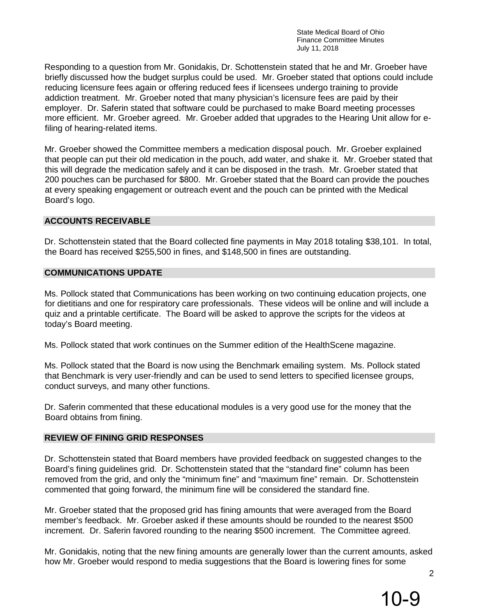Responding to a question from Mr. Gonidakis, Dr. Schottenstein stated that he and Mr. Groeber have briefly discussed how the budget surplus could be used. Mr. Groeber stated that options could include reducing licensure fees again or offering reduced fees if licensees undergo training to provide addiction treatment. Mr. Groeber noted that many physician's licensure fees are paid by their employer. Dr. Saferin stated that software could be purchased to make Board meeting processes more efficient. Mr. Groeber agreed. Mr. Groeber added that upgrades to the Hearing Unit allow for efiling of hearing-related items.

Mr. Groeber showed the Committee members a medication disposal pouch. Mr. Groeber explained that people can put their old medication in the pouch, add water, and shake it. Mr. Groeber stated that this will degrade the medication safely and it can be disposed in the trash. Mr. Groeber stated that 200 pouches can be purchased for \$800. Mr. Groeber stated that the Board can provide the pouches at every speaking engagement or outreach event and the pouch can be printed with the Medical Board's logo.

## **ACCOUNTS RECEIVABLE**

Dr. Schottenstein stated that the Board collected fine payments in May 2018 totaling \$38,101. In total, the Board has received \$255,500 in fines, and \$148,500 in fines are outstanding.

## **COMMUNICATIONS UPDATE**

Ms. Pollock stated that Communications has been working on two continuing education projects, one for dietitians and one for respiratory care professionals. These videos will be online and will include a quiz and a printable certificate. The Board will be asked to approve the scripts for the videos at today's Board meeting.

Ms. Pollock stated that work continues on the Summer edition of the HealthScene magazine.

Ms. Pollock stated that the Board is now using the Benchmark emailing system. Ms. Pollock stated that Benchmark is very user-friendly and can be used to send letters to specified licensee groups, conduct surveys, and many other functions.

Dr. Saferin commented that these educational modules is a very good use for the money that the Board obtains from fining.

## **REVIEW OF FINING GRID RESPONSES**

Dr. Schottenstein stated that Board members have provided feedback on suggested changes to the Board's fining guidelines grid. Dr. Schottenstein stated that the "standard fine" column has been removed from the grid, and only the "minimum fine" and "maximum fine" remain. Dr. Schottenstein commented that going forward, the minimum fine will be considered the standard fine.

Mr. Groeber stated that the proposed grid has fining amounts that were averaged from the Board member's feedback. Mr. Groeber asked if these amounts should be rounded to the nearest \$500 increment. Dr. Saferin favored rounding to the nearing \$500 increment. The Committee agreed.

Mr. Gonidakis, noting that the new fining amounts are generally lower than the current amounts, asked how Mr. Groeber would respond to media suggestions that the Board is lowering fines for some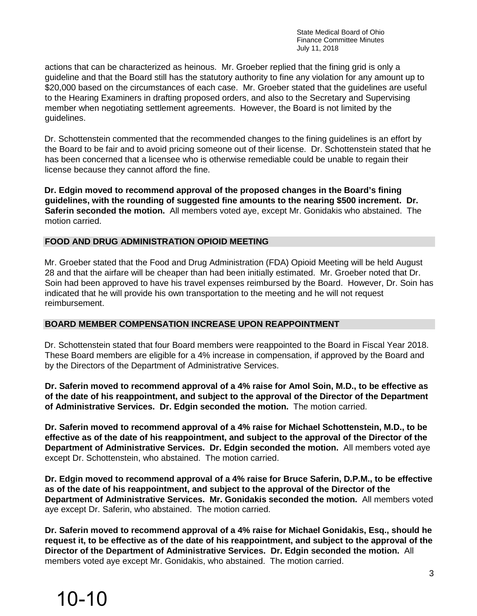actions that can be characterized as heinous. Mr. Groeber replied that the fining grid is only a guideline and that the Board still has the statutory authority to fine any violation for any amount up to \$20,000 based on the circumstances of each case. Mr. Groeber stated that the guidelines are useful to the Hearing Examiners in drafting proposed orders, and also to the Secretary and Supervising member when negotiating settlement agreements. However, the Board is not limited by the guidelines.

Dr. Schottenstein commented that the recommended changes to the fining guidelines is an effort by the Board to be fair and to avoid pricing someone out of their license. Dr. Schottenstein stated that he has been concerned that a licensee who is otherwise remediable could be unable to regain their license because they cannot afford the fine.

**Dr. Edgin moved to recommend approval of the proposed changes in the Board's fining guidelines, with the rounding of suggested fine amounts to the nearing \$500 increment. Dr. Saferin seconded the motion.** All members voted aye, except Mr. Gonidakis who abstained. The motion carried.

## **FOOD AND DRUG ADMINISTRATION OPIOID MEETING**

Mr. Groeber stated that the Food and Drug Administration (FDA) Opioid Meeting will be held August 28 and that the airfare will be cheaper than had been initially estimated. Mr. Groeber noted that Dr. Soin had been approved to have his travel expenses reimbursed by the Board. However, Dr. Soin has indicated that he will provide his own transportation to the meeting and he will not request reimbursement.

## **BOARD MEMBER COMPENSATION INCREASE UPON REAPPOINTMENT**

Dr. Schottenstein stated that four Board members were reappointed to the Board in Fiscal Year 2018. These Board members are eligible for a 4% increase in compensation, if approved by the Board and by the Directors of the Department of Administrative Services.

**Dr. Saferin moved to recommend approval of a 4% raise for Amol Soin, M.D., to be effective as of the date of his reappointment, and subject to the approval of the Director of the Department of Administrative Services. Dr. Edgin seconded the motion.** The motion carried.

**Dr. Saferin moved to recommend approval of a 4% raise for Michael Schottenstein, M.D., to be effective as of the date of his reappointment, and subject to the approval of the Director of the Department of Administrative Services. Dr. Edgin seconded the motion.** All members voted aye except Dr. Schottenstein, who abstained. The motion carried.

**Dr. Edgin moved to recommend approval of a 4% raise for Bruce Saferin, D.P.M., to be effective as of the date of his reappointment, and subject to the approval of the Director of the Department of Administrative Services. Mr. Gonidakis seconded the motion.** All members voted aye except Dr. Saferin, who abstained. The motion carried.

**Dr. Saferin moved to recommend approval of a 4% raise for Michael Gonidakis, Esq., should he request it, to be effective as of the date of his reappointment, and subject to the approval of the Director of the Department of Administrative Services. Dr. Edgin seconded the motion.** All members voted aye except Mr. Gonidakis, who abstained. The motion carried.

# 10-10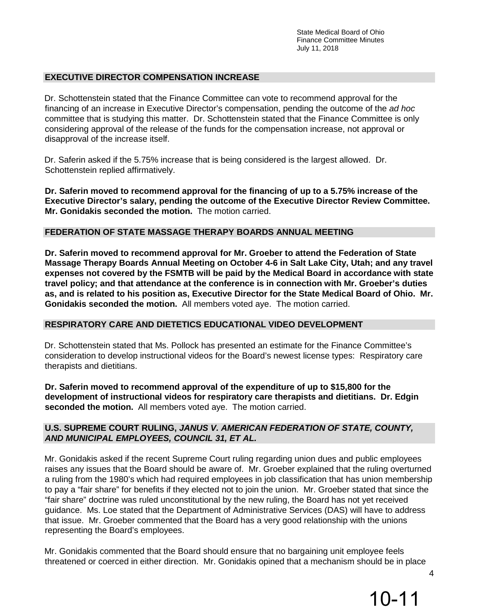## **EXECUTIVE DIRECTOR COMPENSATION INCREASE**

Dr. Schottenstein stated that the Finance Committee can vote to recommend approval for the financing of an increase in Executive Director's compensation, pending the outcome of the *ad hoc* committee that is studying this matter. Dr. Schottenstein stated that the Finance Committee is only considering approval of the release of the funds for the compensation increase, not approval or disapproval of the increase itself.

Dr. Saferin asked if the 5.75% increase that is being considered is the largest allowed. Dr. Schottenstein replied affirmatively.

**Dr. Saferin moved to recommend approval for the financing of up to a 5.75% increase of the Executive Director's salary, pending the outcome of the Executive Director Review Committee. Mr. Gonidakis seconded the motion.** The motion carried.

## **FEDERATION OF STATE MASSAGE THERAPY BOARDS ANNUAL MEETING**

**Dr. Saferin moved to recommend approval for Mr. Groeber to attend the Federation of State Massage Therapy Boards Annual Meeting on October 4-6 in Salt Lake City, Utah; and any travel expenses not covered by the FSMTB will be paid by the Medical Board in accordance with state travel policy; and that attendance at the conference is in connection with Mr. Groeber's duties as, and is related to his position as, Executive Director for the State Medical Board of Ohio. Mr. Gonidakis seconded the motion.** All members voted aye. The motion carried.

#### **RESPIRATORY CARE AND DIETETICS EDUCATIONAL VIDEO DEVELOPMENT**

Dr. Schottenstein stated that Ms. Pollock has presented an estimate for the Finance Committee's consideration to develop instructional videos for the Board's newest license types: Respiratory care therapists and dietitians.

**Dr. Saferin moved to recommend approval of the expenditure of up to \$15,800 for the development of instructional videos for respiratory care therapists and dietitians. Dr. Edgin seconded the motion.** All members voted aye. The motion carried.

## **U.S. SUPREME COURT RULING,** *JANUS V. AMERICAN FEDERATION OF STATE, COUNTY, AND MUNICIPAL EMPLOYEES, COUNCIL 31, ET AL.*

Mr. Gonidakis asked if the recent Supreme Court ruling regarding union dues and public employees raises any issues that the Board should be aware of. Mr. Groeber explained that the ruling overturned a ruling from the 1980's which had required employees in job classification that has union membership to pay a "fair share" for benefits if they elected not to join the union. Mr. Groeber stated that since the "fair share" doctrine was ruled unconstitutional by the new ruling, the Board has not yet received guidance. Ms. Loe stated that the Department of Administrative Services (DAS) will have to address that issue. Mr. Groeber commented that the Board has a very good relationship with the unions representing the Board's employees.

Mr. Gonidakis commented that the Board should ensure that no bargaining unit employee feels threatened or coerced in either direction. Mr. Gonidakis opined that a mechanism should be in place

4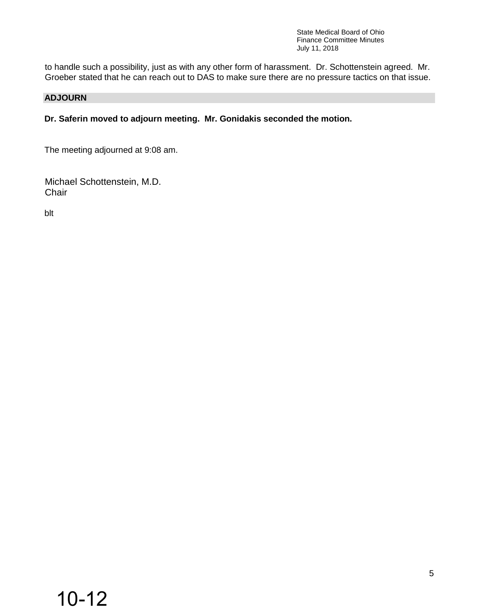to handle such a possibility, just as with any other form of harassment. Dr. Schottenstein agreed. Mr. Groeber stated that he can reach out to DAS to make sure there are no pressure tactics on that issue.

## **ADJOURN**

**Dr. Saferin moved to adjourn meeting. Mr. Gonidakis seconded the motion.** 

The meeting adjourned at 9:08 am.

Michael Schottenstein, M.D. **Chair** 

blt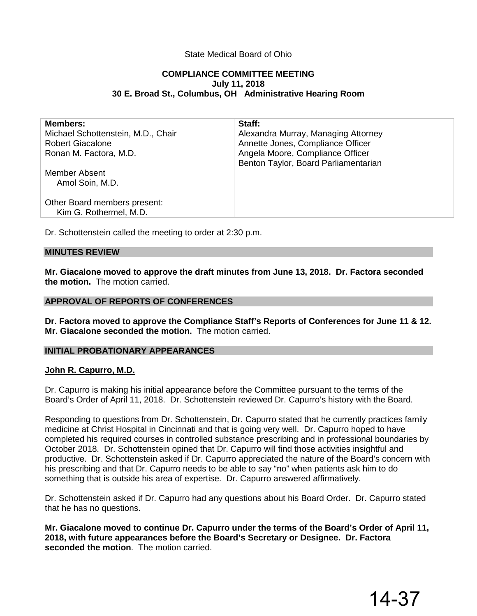## State Medical Board of Ohio

## **COMPLIANCE COMMITTEE MEETING July 11, 2018 30 E. Broad St., Columbus, OH Administrative Hearing Room**

| <b>Members:</b>                    | Staff:                               |
|------------------------------------|--------------------------------------|
| Michael Schottenstein, M.D., Chair | Alexandra Murray, Managing Attorney  |
| <b>Robert Giacalone</b>            | Annette Jones, Compliance Officer    |
| Ronan M. Factora, M.D.             | Angela Moore, Compliance Officer     |
|                                    | Benton Taylor, Board Parliamentarian |
| Member Absent                      |                                      |
| Amol Soin, M.D.                    |                                      |
|                                    |                                      |
| Other Board members present:       |                                      |
| Kim G. Rothermel, M.D.             |                                      |
|                                    |                                      |

Dr. Schottenstein called the meeting to order at 2:30 p.m.

#### **MINUTES REVIEW**

**Mr. Giacalone moved to approve the draft minutes from June 13, 2018. Dr. Factora seconded the motion.** The motion carried.

#### **APPROVAL OF REPORTS OF CONFERENCES**

**Dr. Factora moved to approve the Compliance Staff's Reports of Conferences for June 11 & 12. Mr. Giacalone seconded the motion.** The motion carried.

#### **INITIAL PROBATIONARY APPEARANCES**

#### **John R. Capurro, M.D.**

Dr. Capurro is making his initial appearance before the Committee pursuant to the terms of the Board's Order of April 11, 2018. Dr. Schottenstein reviewed Dr. Capurro's history with the Board.

Responding to questions from Dr. Schottenstein, Dr. Capurro stated that he currently practices family medicine at Christ Hospital in Cincinnati and that is going very well. Dr. Capurro hoped to have completed his required courses in controlled substance prescribing and in professional boundaries by October 2018. Dr. Schottenstein opined that Dr. Capurro will find those activities insightful and productive. Dr. Schottenstein asked if Dr. Capurro appreciated the nature of the Board's concern with his prescribing and that Dr. Capurro needs to be able to say "no" when patients ask him to do something that is outside his area of expertise. Dr. Capurro answered affirmatively.

Dr. Schottenstein asked if Dr. Capurro had any questions about his Board Order. Dr. Capurro stated that he has no questions.

**Mr. Giacalone moved to continue Dr. Capurro under the terms of the Board's Order of April 11, 2018, with future appearances before the Board's Secretary or Designee. Dr. Factora seconded the motion**. The motion carried.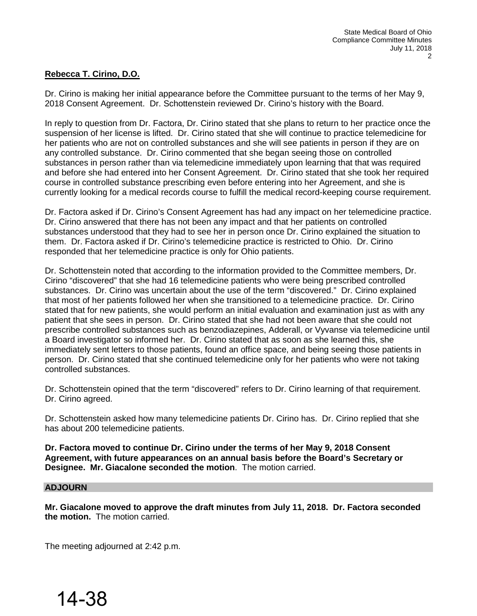## **Rebecca T. Cirino, D.O.**

Dr. Cirino is making her initial appearance before the Committee pursuant to the terms of her May 9, 2018 Consent Agreement. Dr. Schottenstein reviewed Dr. Cirino's history with the Board.

In reply to question from Dr. Factora, Dr. Cirino stated that she plans to return to her practice once the suspension of her license is lifted. Dr. Cirino stated that she will continue to practice telemedicine for her patients who are not on controlled substances and she will see patients in person if they are on any controlled substance. Dr. Cirino commented that she began seeing those on controlled substances in person rather than via telemedicine immediately upon learning that that was required and before she had entered into her Consent Agreement. Dr. Cirino stated that she took her required course in controlled substance prescribing even before entering into her Agreement, and she is currently looking for a medical records course to fulfill the medical record-keeping course requirement.

Dr. Factora asked if Dr. Cirino's Consent Agreement has had any impact on her telemedicine practice. Dr. Cirino answered that there has not been any impact and that her patients on controlled substances understood that they had to see her in person once Dr. Cirino explained the situation to them. Dr. Factora asked if Dr. Cirino's telemedicine practice is restricted to Ohio. Dr. Cirino responded that her telemedicine practice is only for Ohio patients.

Dr. Schottenstein noted that according to the information provided to the Committee members, Dr. Cirino "discovered" that she had 16 telemedicine patients who were being prescribed controlled substances. Dr. Cirino was uncertain about the use of the term "discovered." Dr. Cirino explained that most of her patients followed her when she transitioned to a telemedicine practice. Dr. Cirino stated that for new patients, she would perform an initial evaluation and examination just as with any patient that she sees in person. Dr. Cirino stated that she had not been aware that she could not prescribe controlled substances such as benzodiazepines, Adderall, or Vyvanse via telemedicine until a Board investigator so informed her. Dr. Cirino stated that as soon as she learned this, she immediately sent letters to those patients, found an office space, and being seeing those patients in person. Dr. Cirino stated that she continued telemedicine only for her patients who were not taking controlled substances.

Dr. Schottenstein opined that the term "discovered" refers to Dr. Cirino learning of that requirement. Dr. Cirino agreed.

Dr. Schottenstein asked how many telemedicine patients Dr. Cirino has. Dr. Cirino replied that she has about 200 telemedicine patients.

**Dr. Factora moved to continue Dr. Cirino under the terms of her May 9, 2018 Consent Agreement, with future appearances on an annual basis before the Board's Secretary or Designee. Mr. Giacalone seconded the motion**. The motion carried.

#### **ADJOURN**

**Mr. Giacalone moved to approve the draft minutes from July 11, 2018. Dr. Factora seconded the motion.** The motion carried.

The meeting adjourned at 2:42 p.m.